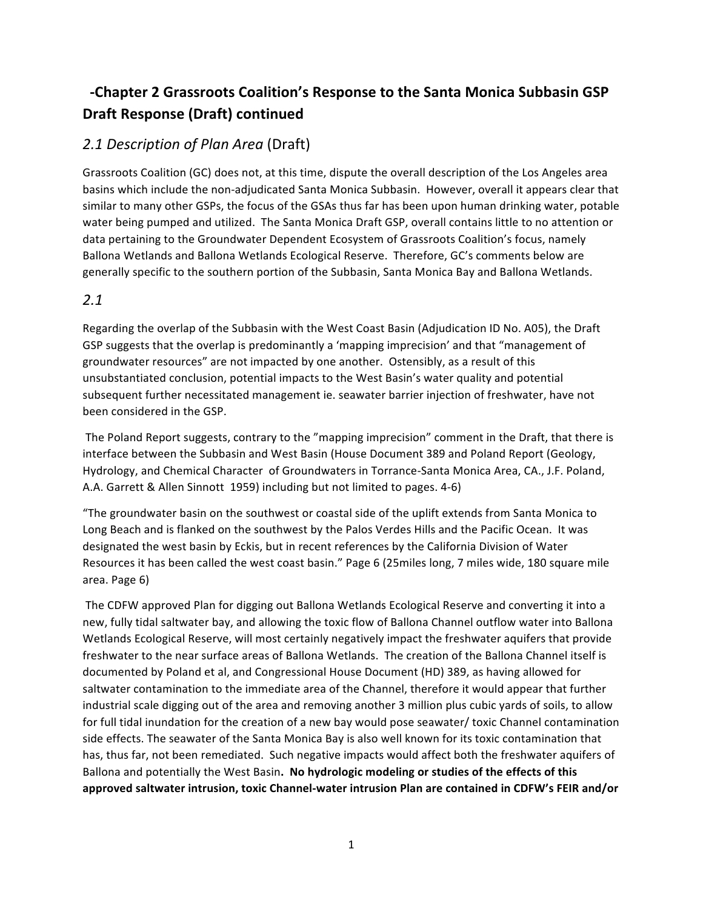# -Chapter 2 Grassroots Coalition's Response to the Santa Monica Subbasin GSP **Draft Response (Draft) continued**

# *2.1 Description of Plan Area* (Draft)

Grassroots Coalition (GC) does not, at this time, dispute the overall description of the Los Angeles area basins which include the non-adjudicated Santa Monica Subbasin. However, overall it appears clear that similar to many other GSPs, the focus of the GSAs thus far has been upon human drinking water, potable water being pumped and utilized. The Santa Monica Draft GSP, overall contains little to no attention or data pertaining to the Groundwater Dependent Ecosystem of Grassroots Coalition's focus, namely Ballona Wetlands and Ballona Wetlands Ecological Reserve. Therefore, GC's comments below are generally specific to the southern portion of the Subbasin, Santa Monica Bay and Ballona Wetlands.

## *2.1*

Regarding the overlap of the Subbasin with the West Coast Basin (Adjudication ID No. A05), the Draft GSP suggests that the overlap is predominantly a 'mapping imprecision' and that "management of groundwater resources" are not impacted by one another. Ostensibly, as a result of this unsubstantiated conclusion, potential impacts to the West Basin's water quality and potential subsequent further necessitated management ie. seawater barrier injection of freshwater, have not been considered in the GSP.

The Poland Report suggests, contrary to the "mapping imprecision" comment in the Draft, that there is interface between the Subbasin and West Basin (House Document 389 and Poland Report (Geology, Hydrology, and Chemical Character of Groundwaters in Torrance-Santa Monica Area, CA., J.F. Poland, A.A. Garrett & Allen Sinnott 1959) including but not limited to pages. 4-6)

"The groundwater basin on the southwest or coastal side of the uplift extends from Santa Monica to Long Beach and is flanked on the southwest by the Palos Verdes Hills and the Pacific Ocean. It was designated the west basin by Eckis, but in recent references by the California Division of Water Resources it has been called the west coast basin." Page 6 (25miles long, 7 miles wide, 180 square mile area. Page 6)

The CDFW approved Plan for digging out Ballona Wetlands Ecological Reserve and converting it into a new, fully tidal saltwater bay, and allowing the toxic flow of Ballona Channel outflow water into Ballona Wetlands Ecological Reserve, will most certainly negatively impact the freshwater aquifers that provide freshwater to the near surface areas of Ballona Wetlands. The creation of the Ballona Channel itself is documented by Poland et al, and Congressional House Document (HD) 389, as having allowed for saltwater contamination to the immediate area of the Channel, therefore it would appear that further industrial scale digging out of the area and removing another 3 million plus cubic yards of soils, to allow for full tidal inundation for the creation of a new bay would pose seawater/ toxic Channel contamination side effects. The seawater of the Santa Monica Bay is also well known for its toxic contamination that has, thus far, not been remediated. Such negative impacts would affect both the freshwater aquifers of Ballona and potentially the West Basin. No hydrologic modeling or studies of the effects of this approved saltwater intrusion, toxic Channel-water intrusion Plan are contained in CDFW's FEIR and/or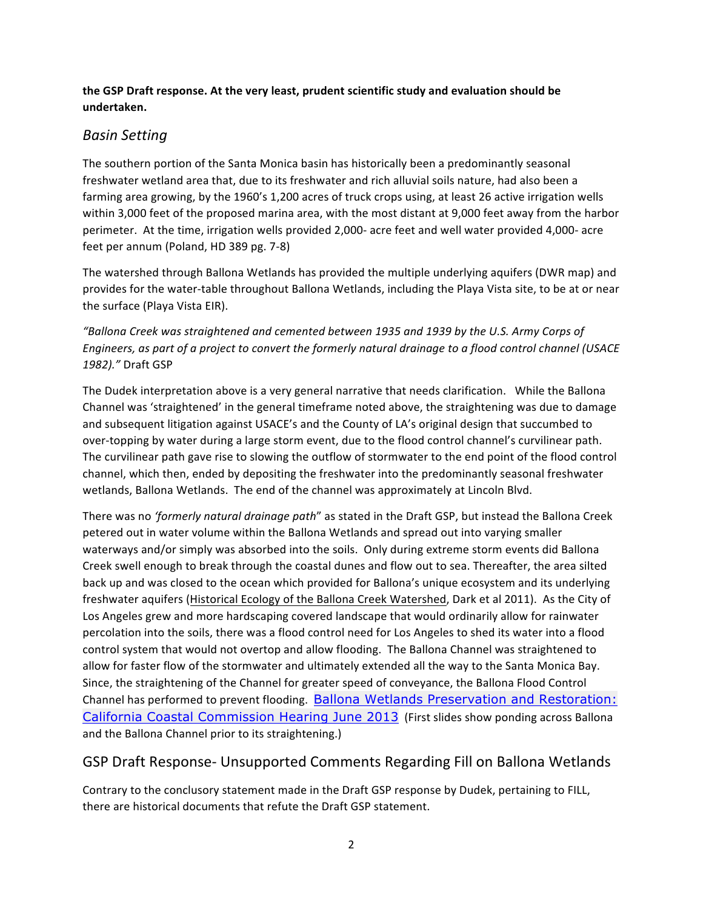### the GSP Draft response. At the very least, prudent scientific study and evaluation should be **undertaken.**

## *Basin Setting*

The southern portion of the Santa Monica basin has historically been a predominantly seasonal freshwater wetland area that, due to its freshwater and rich alluvial soils nature, had also been a farming area growing, by the 1960's 1,200 acres of truck crops using, at least 26 active irrigation wells within 3,000 feet of the proposed marina area, with the most distant at 9,000 feet away from the harbor perimeter. At the time, irrigation wells provided 2,000- acre feet and well water provided 4,000- acre feet per annum (Poland, HD 389 pg. 7-8)

The watershed through Ballona Wetlands has provided the multiple underlying aquifers (DWR map) and provides for the water-table throughout Ballona Wetlands, including the Playa Vista site, to be at or near the surface (Playa Vista EIR).

"Ballona Creek was straightened and cemented between 1935 and 1939 by the U.S. Army Corps of *Engineers, as part of a project to convert the formerly natural drainage to a flood control channel (USACE* 1982)." Draft GSP

The Dudek interpretation above is a very general narrative that needs clarification. While the Ballona Channel was 'straightened' in the general timeframe noted above, the straightening was due to damage and subsequent litigation against USACE's and the County of LA's original design that succumbed to over-topping by water during a large storm event, due to the flood control channel's curvilinear path. The curvilinear path gave rise to slowing the outflow of stormwater to the end point of the flood control channel, which then, ended by depositing the freshwater into the predominantly seasonal freshwater wetlands, Ballona Wetlands. The end of the channel was approximately at Lincoln Blvd.

There was no 'formerly natural drainage path" as stated in the Draft GSP, but instead the Ballona Creek petered out in water volume within the Ballona Wetlands and spread out into varying smaller waterways and/or simply was absorbed into the soils. Only during extreme storm events did Ballona Creek swell enough to break through the coastal dunes and flow out to sea. Thereafter, the area silted back up and was closed to the ocean which provided for Ballona's unique ecosystem and its underlying freshwater aquifers (Historical Ecology of the Ballona Creek Watershed, Dark et al 2011). As the City of Los Angeles grew and more hardscaping covered landscape that would ordinarily allow for rainwater percolation into the soils, there was a flood control need for Los Angeles to shed its water into a flood control system that would not overtop and allow flooding. The Ballona Channel was straightened to allow for faster flow of the stormwater and ultimately extended all the way to the Santa Monica Bay. Since, the straightening of the Channel for greater speed of conveyance, the Ballona Flood Control Channel has performed to prevent flooding. Ballona Wetlands Preservation and Restoration: California Coastal Commission Hearing June 2013 (First slides show ponding across Ballona and the Ballona Channel prior to its straightening.)

# GSP Draft Response- Unsupported Comments Regarding Fill on Ballona Wetlands

Contrary to the conclusory statement made in the Draft GSP response by Dudek, pertaining to FILL, there are historical documents that refute the Draft GSP statement.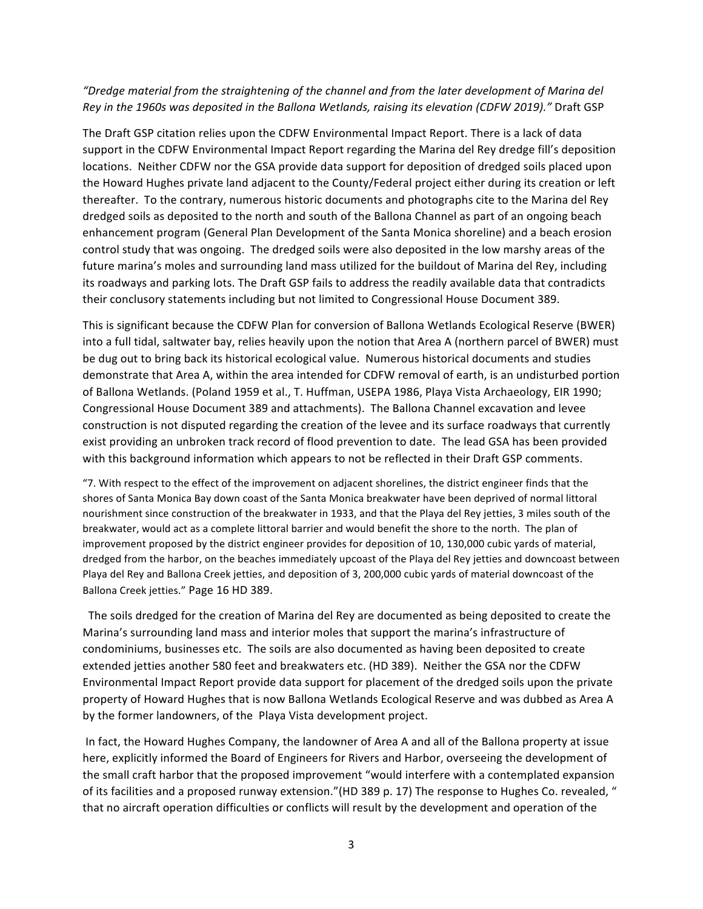### *"Dredge material from the straightening of the channel and from the later development of Marina del*  Rey in the 1960s was deposited in the Ballona Wetlands, raising its elevation (CDFW 2019)." Draft GSP

The Draft GSP citation relies upon the CDFW Environmental Impact Report. There is a lack of data support in the CDFW Environmental Impact Report regarding the Marina del Rey dredge fill's deposition locations. Neither CDFW nor the GSA provide data support for deposition of dredged soils placed upon the Howard Hughes private land adjacent to the County/Federal project either during its creation or left thereafter. To the contrary, numerous historic documents and photographs cite to the Marina del Rey dredged soils as deposited to the north and south of the Ballona Channel as part of an ongoing beach enhancement program (General Plan Development of the Santa Monica shoreline) and a beach erosion control study that was ongoing. The dredged soils were also deposited in the low marshy areas of the future marina's moles and surrounding land mass utilized for the buildout of Marina del Rey, including its roadways and parking lots. The Draft GSP fails to address the readily available data that contradicts their conclusory statements including but not limited to Congressional House Document 389.

This is significant because the CDFW Plan for conversion of Ballona Wetlands Ecological Reserve (BWER) into a full tidal, saltwater bay, relies heavily upon the notion that Area A (northern parcel of BWER) must be dug out to bring back its historical ecological value. Numerous historical documents and studies demonstrate that Area A, within the area intended for CDFW removal of earth, is an undisturbed portion of Ballona Wetlands. (Poland 1959 et al., T. Huffman, USEPA 1986, Playa Vista Archaeology, EIR 1990; Congressional House Document 389 and attachments). The Ballona Channel excavation and levee construction is not disputed regarding the creation of the levee and its surface roadways that currently exist providing an unbroken track record of flood prevention to date. The lead GSA has been provided with this background information which appears to not be reflected in their Draft GSP comments.

"7. With respect to the effect of the improvement on adjacent shorelines, the district engineer finds that the shores of Santa Monica Bay down coast of the Santa Monica breakwater have been deprived of normal littoral nourishment since construction of the breakwater in 1933, and that the Playa del Rey jetties, 3 miles south of the breakwater, would act as a complete littoral barrier and would benefit the shore to the north. The plan of improvement proposed by the district engineer provides for deposition of 10, 130,000 cubic yards of material, dredged from the harbor, on the beaches immediately upcoast of the Playa del Rey jetties and downcoast between Playa del Rey and Ballona Creek jetties, and deposition of 3, 200,000 cubic yards of material downcoast of the Ballona Creek jetties." Page 16 HD 389.

The soils dredged for the creation of Marina del Rey are documented as being deposited to create the Marina's surrounding land mass and interior moles that support the marina's infrastructure of condominiums, businesses etc. The soils are also documented as having been deposited to create extended jetties another 580 feet and breakwaters etc. (HD 389). Neither the GSA nor the CDFW Environmental Impact Report provide data support for placement of the dredged soils upon the private property of Howard Hughes that is now Ballona Wetlands Ecological Reserve and was dubbed as Area A by the former landowners, of the Playa Vista development project.

In fact, the Howard Hughes Company, the landowner of Area A and all of the Ballona property at issue here, explicitly informed the Board of Engineers for Rivers and Harbor, overseeing the development of the small craft harbor that the proposed improvement "would interfere with a contemplated expansion of its facilities and a proposed runway extension."(HD 389 p. 17) The response to Hughes Co. revealed, " that no aircraft operation difficulties or conflicts will result by the development and operation of the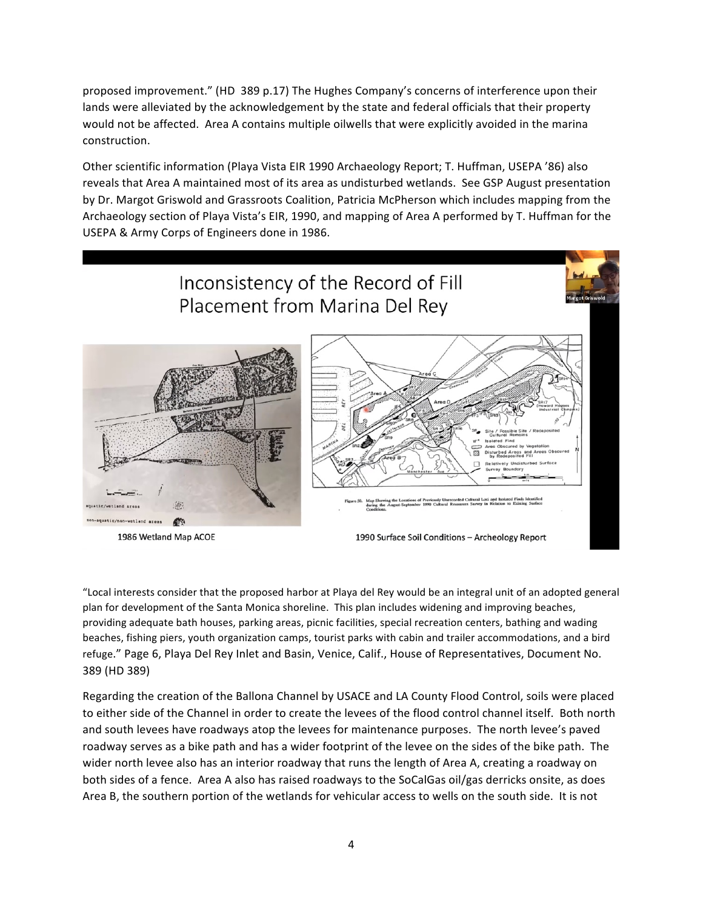proposed improvement." (HD 389 p.17) The Hughes Company's concerns of interference upon their lands were alleviated by the acknowledgement by the state and federal officials that their property would not be affected. Area A contains multiple oilwells that were explicitly avoided in the marina construction.

Other scientific information (Playa Vista EIR 1990 Archaeology Report; T. Huffman, USEPA '86) also reveals that Area A maintained most of its area as undisturbed wetlands. See GSP August presentation by Dr. Margot Griswold and Grassroots Coalition, Patricia McPherson which includes mapping from the Archaeology section of Playa Vista's EIR, 1990, and mapping of Area A performed by T. Huffman for the USEPA & Army Corps of Engineers done in 1986.



"Local interests consider that the proposed harbor at Playa del Rey would be an integral unit of an adopted general plan for development of the Santa Monica shoreline. This plan includes widening and improving beaches, providing adequate bath houses, parking areas, picnic facilities, special recreation centers, bathing and wading beaches, fishing piers, youth organization camps, tourist parks with cabin and trailer accommodations, and a bird refuge." Page 6, Playa Del Rey Inlet and Basin, Venice, Calif., House of Representatives, Document No. 389 (HD 389)

Regarding the creation of the Ballona Channel by USACE and LA County Flood Control, soils were placed to either side of the Channel in order to create the levees of the flood control channel itself. Both north and south levees have roadways atop the levees for maintenance purposes. The north levee's paved roadway serves as a bike path and has a wider footprint of the levee on the sides of the bike path. The wider north levee also has an interior roadway that runs the length of Area A, creating a roadway on both sides of a fence. Area A also has raised roadways to the SoCalGas oil/gas derricks onsite, as does Area B, the southern portion of the wetlands for vehicular access to wells on the south side. It is not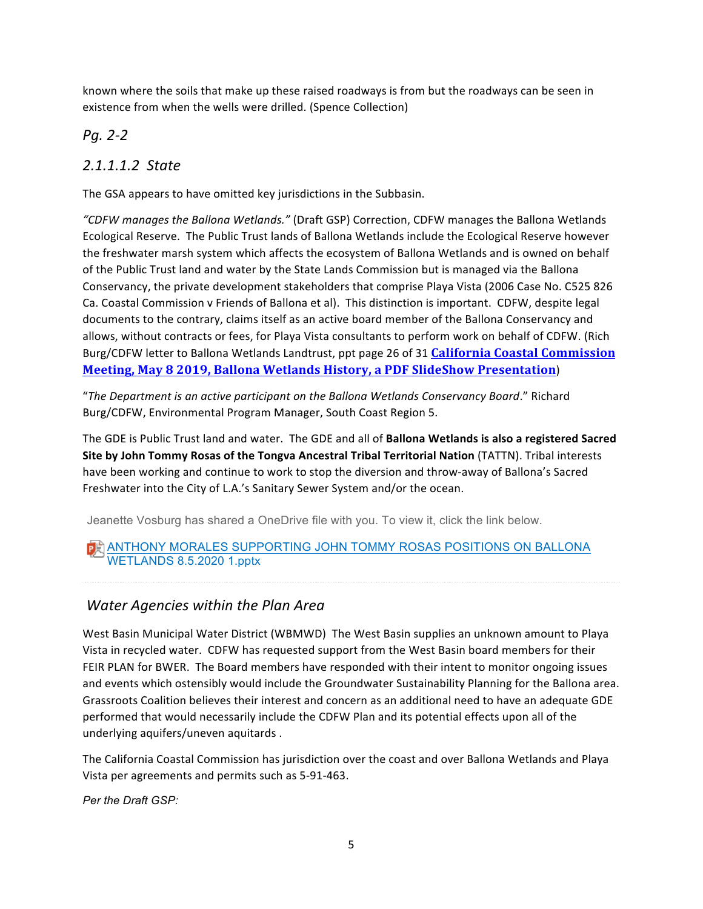known where the soils that make up these raised roadways is from but the roadways can be seen in existence from when the wells were drilled. (Spence Collection)

## *Pg. 2-2*

## *2.1.1.1.2 State*

The GSA appears to have omitted key jurisdictions in the Subbasin.

*"CDFW manages the Ballona Wetlands."* (Draft GSP) Correction, CDFW manages the Ballona Wetlands Ecological Reserve. The Public Trust lands of Ballona Wetlands include the Ecological Reserve however the freshwater marsh system which affects the ecosystem of Ballona Wetlands and is owned on behalf of the Public Trust land and water by the State Lands Commission but is managed via the Ballona Conservancy, the private development stakeholders that comprise Playa Vista (2006 Case No. C525 826 Ca. Coastal Commission v Friends of Ballona et al). This distinction is important. CDFW, despite legal documents to the contrary, claims itself as an active board member of the Ballona Conservancy and allows, without contracts or fees, for Playa Vista consultants to perform work on behalf of CDFW. (Rich Burg/CDFW letter to Ballona Wetlands Landtrust, ppt page 26 of 31 **California Coastal Commission Meeting, May 8 2019, Ballona Wetlands History, a PDF SlideShow Presentation**)

"The Department is an active participant on the Ballona Wetlands Conservancy Board." Richard Burg/CDFW, Environmental Program Manager, South Coast Region 5.

The GDE is Public Trust land and water. The GDE and all of **Ballona Wetlands is also a registered Sacred Site by John Tommy Rosas of the Tongva Ancestral Tribal Territorial Nation (TATTN). Tribal interests** have been working and continue to work to stop the diversion and throw-away of Ballona's Sacred Freshwater into the City of L.A.'s Sanitary Sewer System and/or the ocean.

Jeanette Vosburg has shared a OneDrive file with you. To view it, click the link below.

## **DE ANTHONY MORALES SUPPORTING JOHN TOMMY ROSAS POSITIONS ON BALLONA** WETLANDS 8.5.2020 1.pptx

## *Water Agencies within the Plan Area*

West Basin Municipal Water District (WBMWD) The West Basin supplies an unknown amount to Playa Vista in recycled water. CDFW has requested support from the West Basin board members for their FEIR PLAN for BWER. The Board members have responded with their intent to monitor ongoing issues and events which ostensibly would include the Groundwater Sustainability Planning for the Ballona area. Grassroots Coalition believes their interest and concern as an additional need to have an adequate GDE performed that would necessarily include the CDFW Plan and its potential effects upon all of the underlying aquifers/uneven aquitards.

The California Coastal Commission has jurisdiction over the coast and over Ballona Wetlands and Playa Vista per agreements and permits such as 5-91-463.

*Per the Draft GSP:*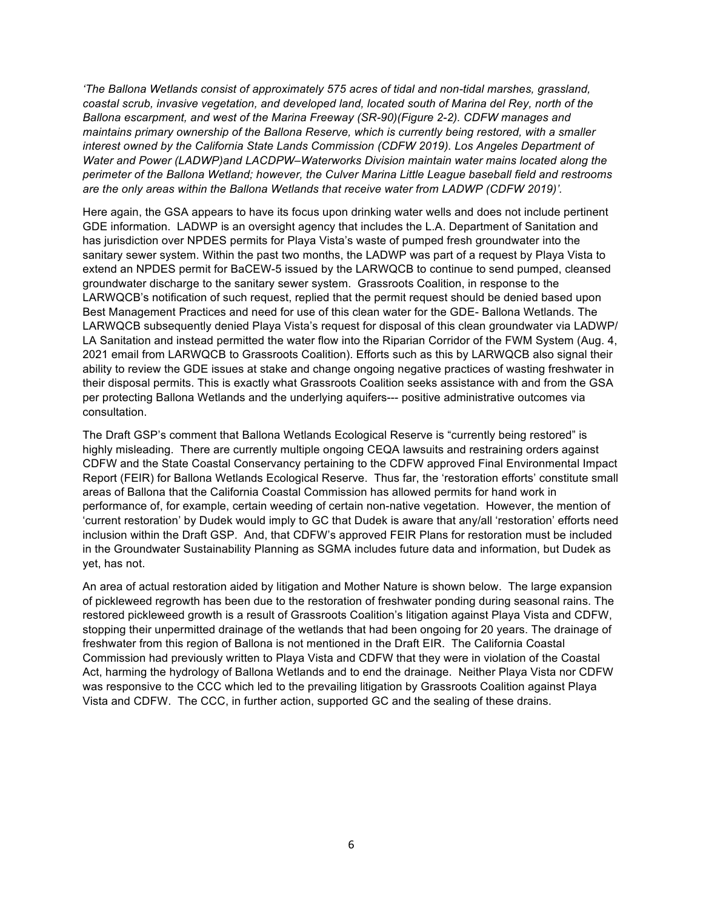*'The Ballona Wetlands consist of approximately 575 acres of tidal and non-tidal marshes, grassland, coastal scrub, invasive vegetation, and developed land, located south of Marina del Rey, north of the Ballona escarpment, and west of the Marina Freeway (SR-90)(Figure 2-2). CDFW manages and maintains primary ownership of the Ballona Reserve, which is currently being restored, with a smaller interest owned by the California State Lands Commission (CDFW 2019). Los Angeles Department of Water and Power (LADWP)and LACDPW–Waterworks Division maintain water mains located along the perimeter of the Ballona Wetland; however, the Culver Marina Little League baseball field and restrooms are the only areas within the Ballona Wetlands that receive water from LADWP (CDFW 2019)'.*

Here again, the GSA appears to have its focus upon drinking water wells and does not include pertinent GDE information. LADWP is an oversight agency that includes the L.A. Department of Sanitation and has jurisdiction over NPDES permits for Playa Vista's waste of pumped fresh groundwater into the sanitary sewer system. Within the past two months, the LADWP was part of a request by Playa Vista to extend an NPDES permit for BaCEW-5 issued by the LARWQCB to continue to send pumped, cleansed groundwater discharge to the sanitary sewer system. Grassroots Coalition, in response to the LARWQCB's notification of such request, replied that the permit request should be denied based upon Best Management Practices and need for use of this clean water for the GDE- Ballona Wetlands. The LARWQCB subsequently denied Playa Vista's request for disposal of this clean groundwater via LADWP/ LA Sanitation and instead permitted the water flow into the Riparian Corridor of the FWM System (Aug. 4, 2021 email from LARWQCB to Grassroots Coalition). Efforts such as this by LARWQCB also signal their ability to review the GDE issues at stake and change ongoing negative practices of wasting freshwater in their disposal permits. This is exactly what Grassroots Coalition seeks assistance with and from the GSA per protecting Ballona Wetlands and the underlying aquifers--- positive administrative outcomes via consultation.

The Draft GSP's comment that Ballona Wetlands Ecological Reserve is "currently being restored" is highly misleading. There are currently multiple ongoing CEQA lawsuits and restraining orders against CDFW and the State Coastal Conservancy pertaining to the CDFW approved Final Environmental Impact Report (FEIR) for Ballona Wetlands Ecological Reserve. Thus far, the 'restoration efforts' constitute small areas of Ballona that the California Coastal Commission has allowed permits for hand work in performance of, for example, certain weeding of certain non-native vegetation. However, the mention of 'current restoration' by Dudek would imply to GC that Dudek is aware that any/all 'restoration' efforts need inclusion within the Draft GSP. And, that CDFW's approved FEIR Plans for restoration must be included in the Groundwater Sustainability Planning as SGMA includes future data and information, but Dudek as yet, has not.

An area of actual restoration aided by litigation and Mother Nature is shown below. The large expansion of pickleweed regrowth has been due to the restoration of freshwater ponding during seasonal rains. The restored pickleweed growth is a result of Grassroots Coalition's litigation against Playa Vista and CDFW, stopping their unpermitted drainage of the wetlands that had been ongoing for 20 years. The drainage of freshwater from this region of Ballona is not mentioned in the Draft EIR. The California Coastal Commission had previously written to Playa Vista and CDFW that they were in violation of the Coastal Act, harming the hydrology of Ballona Wetlands and to end the drainage. Neither Playa Vista nor CDFW was responsive to the CCC which led to the prevailing litigation by Grassroots Coalition against Playa Vista and CDFW. The CCC, in further action, supported GC and the sealing of these drains.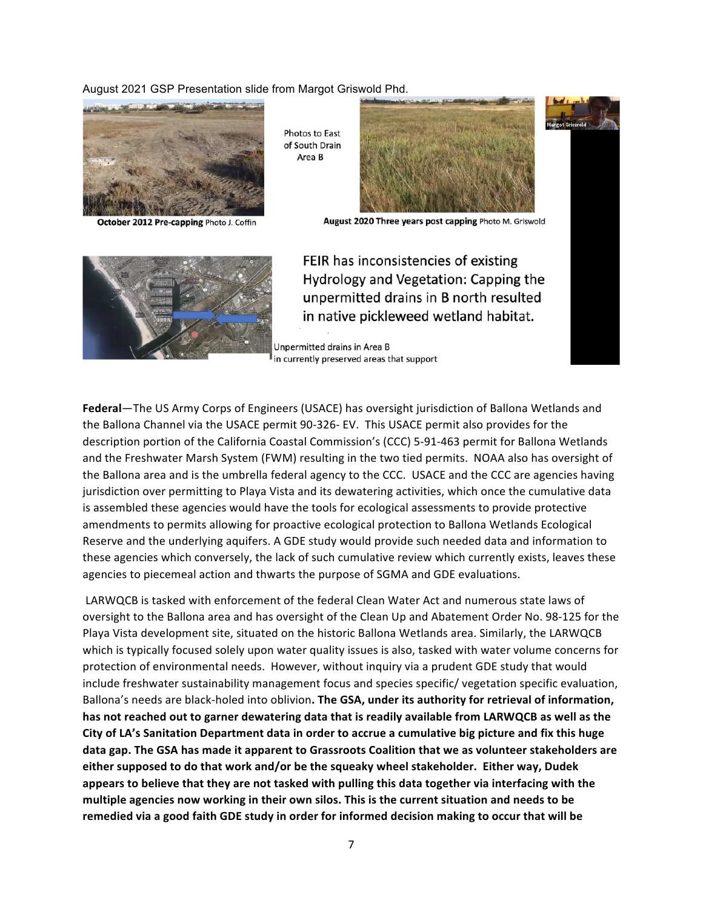#### August 2021 GSP Presentation slide from Margot Griswold Phd.



October 2012 Pre-capping Photo J. Coffin

**Photos to East** of South Drain Area B



August 2020 Three years post capping Photo M. Griswold



FEIR has inconsistencies of existing Hydrology and Vegetation: Capping the unpermitted drains in B north resulted in native pickleweed wetland habitat.

Unpermitted drains in Area B in currently preserved areas that support

**Federal**—The US Army Corps of Engineers (USACE) has oversight jurisdiction of Ballona Wetlands and the Ballona Channel via the USACE permit 90-326- EV. This USACE permit also provides for the description portion of the California Coastal Commission's (CCC) 5-91-463 permit for Ballona Wetlands and the Freshwater Marsh System (FWM) resulting in the two tied permits. NOAA also has oversight of the Ballona area and is the umbrella federal agency to the CCC. USACE and the CCC are agencies having jurisdiction over permitting to Playa Vista and its dewatering activities, which once the cumulative data is assembled these agencies would have the tools for ecological assessments to provide protective amendments to permits allowing for proactive ecological protection to Ballona Wetlands Ecological Reserve and the underlying aquifers. A GDE study would provide such needed data and information to these agencies which conversely, the lack of such cumulative review which currently exists, leaves these agencies to piecemeal action and thwarts the purpose of SGMA and GDE evaluations.

LARWQCB is tasked with enforcement of the federal Clean Water Act and numerous state laws of oversight to the Ballona area and has oversight of the Clean Up and Abatement Order No. 98-125 for the Playa Vista development site, situated on the historic Ballona Wetlands area. Similarly, the LARWQCB which is typically focused solely upon water quality issues is also, tasked with water volume concerns for protection of environmental needs. However, without inquiry via a prudent GDE study that would include freshwater sustainability management focus and species specific/ vegetation specific evaluation, Ballona's needs are black-holed into oblivion. The GSA, under its authority for retrieval of information, has not reached out to garner dewatering data that is readily available from LARWQCB as well as the City of LA's Sanitation Department data in order to accrue a cumulative big picture and fix this huge data gap. The GSA has made it apparent to Grassroots Coalition that we as volunteer stakeholders are either supposed to do that work and/or be the squeaky wheel stakeholder. Either way, Dudek appears to believe that they are not tasked with pulling this data together via interfacing with the multiple agencies now working in their own silos. This is the current situation and needs to be remedied via a good faith GDE study in order for informed decision making to occur that will be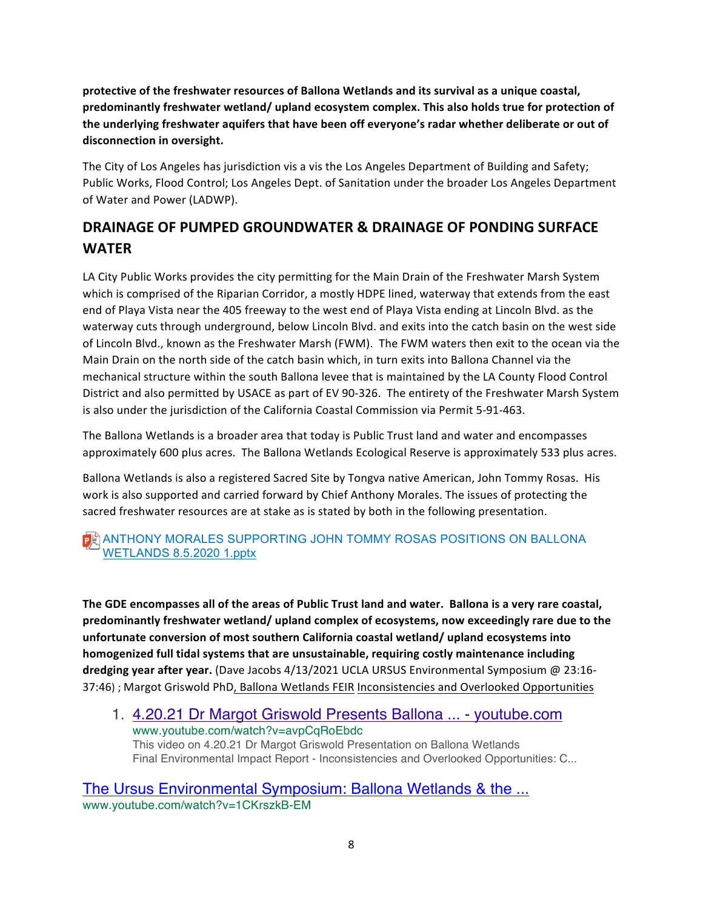protective of the freshwater resources of Ballona Wetlands and its survival as a unique coastal, predominantly freshwater wetland/ upland ecosystem complex. This also holds true for protection of the underlying freshwater aquifers that have been off everyone's radar whether deliberate or out of disconnection in oversight.

The City of Los Angeles has jurisdiction vis a vis the Los Angeles Department of Building and Safety; Public Works, Flood Control; Los Angeles Dept. of Sanitation under the broader Los Angeles Department of Water and Power (LADWP).

# **DRAINAGE OF PUMPED GROUNDWATER & DRAINAGE OF PONDING SURFACE WATER**

LA City Public Works provides the city permitting for the Main Drain of the Freshwater Marsh System which is comprised of the Riparian Corridor, a mostly HDPE lined, waterway that extends from the east end of Playa Vista near the 405 freeway to the west end of Playa Vista ending at Lincoln Blvd. as the waterway cuts through underground, below Lincoln Blvd. and exits into the catch basin on the west side of Lincoln Blvd., known as the Freshwater Marsh (FWM). The FWM waters then exit to the ocean via the Main Drain on the north side of the catch basin which, in turn exits into Ballona Channel via the mechanical structure within the south Ballona levee that is maintained by the LA County Flood Control District and also permitted by USACE as part of EV 90-326. The entirety of the Freshwater Marsh System is also under the jurisdiction of the California Coastal Commission via Permit 5-91-463.

The Ballona Wetlands is a broader area that today is Public Trust land and water and encompasses approximately 600 plus acres. The Ballona Wetlands Ecological Reserve is approximately 533 plus acres.

Ballona Wetlands is also a registered Sacred Site by Tongva native American, John Tommy Rosas. His work is also supported and carried forward by Chief Anthony Morales. The issues of protecting the sacred freshwater resources are at stake as is stated by both in the following presentation.

## ANTHONY MORALES SUPPORTING JOHN TOMMY ROSAS POSITIONS ON BALLONA WETLANDS 8.5.2020 1.pptx

The GDE encompasses all of the areas of Public Trust land and water. Ballona is a very rare coastal, predominantly freshwater wetland/ upland complex of ecosystems, now exceedingly rare due to the unfortunate conversion of most southern California coastal wetland/ upland ecosystems into homogenized full tidal systems that are unsustainable, requiring costly maintenance including dredging year after year. (Dave Jacobs 4/13/2021 UCLA URSUS Environmental Symposium @ 23:16-37:46) ; Margot Griswold PhD, Ballona Wetlands FEIR Inconsistencies and Overlooked Opportunities

1. 4.20.21 Dr Margot Griswold Presents Ballona ... - youtube.com www.youtube.com/watch?v=avpCqRoEbdc This video on 4.20.21 Dr Margot Griswold Presentation on Ballona Wetlands Final Environmental Impact Report - Inconsistencies and Overlooked Opportunities: C...

The Ursus Environmental Symposium: Ballona Wetlands & the ... www.youtube.com/watch?v=1CKrszkB-EM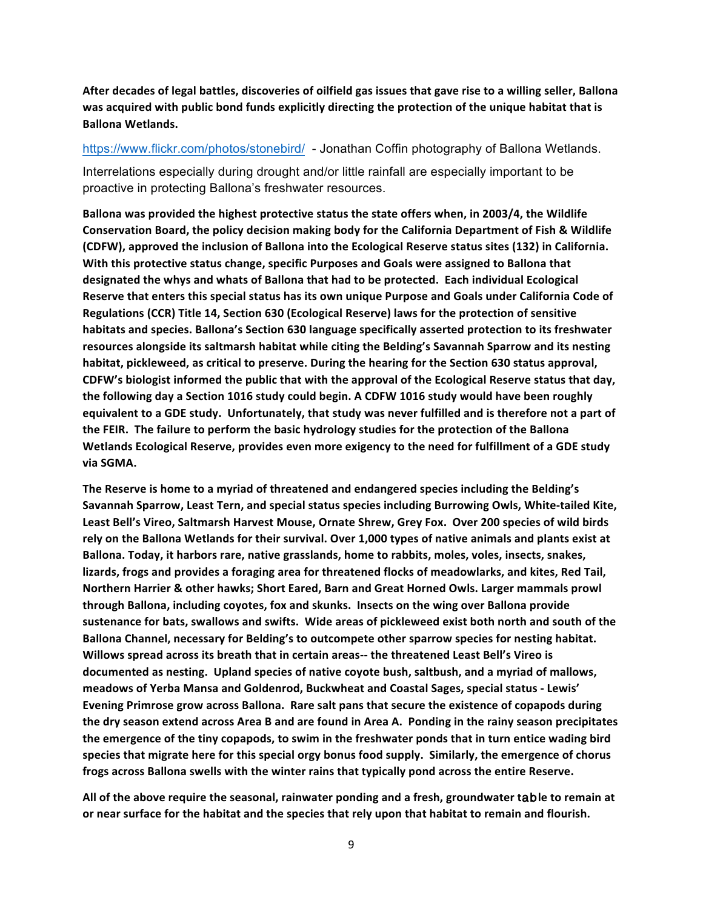After decades of legal battles, discoveries of oilfield gas issues that gave rise to a willing seller, Ballona was acquired with public bond funds explicitly directing the protection of the unique habitat that is **Ballona Wetlands.** 

https://www.flickr.com/photos/stonebird/ - Jonathan Coffin photography of Ballona Wetlands.

Interrelations especially during drought and/or little rainfall are especially important to be proactive in protecting Ballona's freshwater resources.

Ballona was provided the highest protective status the state offers when, in 2003/4, the Wildlife **Conservation Board, the policy decision making body for the California Department of Fish & Wildlife (CDFW), approved the inclusion of Ballona into the Ecological Reserve status sites (132) in California.** With this protective status change, specific Purposes and Goals were assigned to Ballona that designated the whys and whats of Ballona that had to be protected. Each individual Ecological Reserve that enters this special status has its own unique Purpose and Goals under California Code of **Regulations (CCR) Title 14, Section 630 (Ecological Reserve) laws for the protection of sensitive** habitats and species. Ballona's Section 630 language specifically asserted protection to its freshwater resources alongside its saltmarsh habitat while citing the Belding's Savannah Sparrow and its nesting habitat, pickleweed, as critical to preserve. During the hearing for the Section 630 status approval, CDFW's biologist informed the public that with the approval of the Ecological Reserve status that day, the following day a Section 1016 study could begin. A CDFW 1016 study would have been roughly equivalent to a GDE study. Unfortunately, that study was never fulfilled and is therefore not a part of the FEIR. The failure to perform the basic hydrology studies for the protection of the Ballona Wetlands Ecological Reserve, provides even more exigency to the need for fulfillment of a GDE study **via SGMA.**

The Reserve is home to a myriad of threatened and endangered species including the Belding's Savannah Sparrow, Least Tern, and special status species including Burrowing Owls, White-tailed Kite, Least Bell's Vireo, Saltmarsh Harvest Mouse, Ornate Shrew, Grey Fox. Over 200 species of wild birds rely on the Ballona Wetlands for their survival. Over 1,000 types of native animals and plants exist at Ballona. Today, it harbors rare, native grasslands, home to rabbits, moles, voles, insects, snakes, lizards, frogs and provides a foraging area for threatened flocks of meadowlarks, and kites, Red Tail, **Northern Harrier & other hawks; Short Eared, Barn and Great Horned Owls. Larger mammals prowl** through Ballona, including coyotes, fox and skunks. Insects on the wing over Ballona provide sustenance for bats, swallows and swifts. Wide areas of pickleweed exist both north and south of the Ballona Channel, necessary for Belding's to outcompete other sparrow species for nesting habitat. Willows spread across its breath that in certain areas-- the threatened Least Bell's Vireo is **documented as nesting. Upland species of native coyote bush, saltbush, and a myriad of mallows,** meadows of Yerba Mansa and Goldenrod, Buckwheat and Coastal Sages, special status - Lewis' **Evening Primrose grow across Ballona.** Rare salt pans that secure the existence of copapods during **the dry season extend across Area B and are found in Area A. Ponding in the rainy season precipitates the emergence of the tiny copapods, to swim in the freshwater ponds that in turn entice wading bird** species that migrate here for this special orgy bonus food supply. Similarly, the emergence of chorus frogs across Ballona swells with the winter rains that typically pond across the entire Reserve.

All of the above require the seasonal, rainwater ponding and a fresh, groundwater table to remain at or near surface for the habitat and the species that rely upon that habitat to remain and flourish.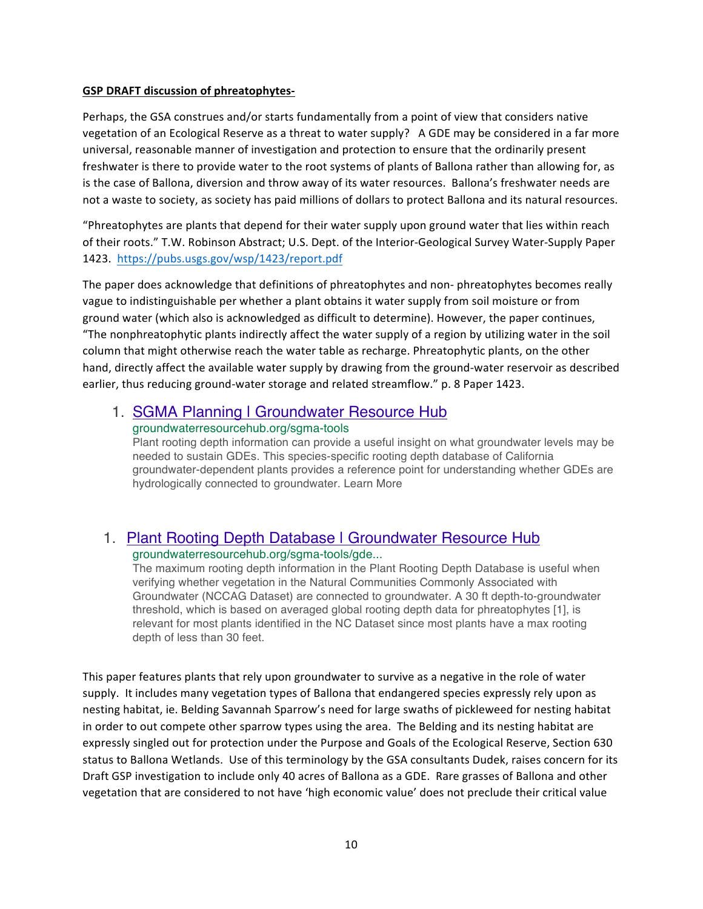#### **GSP DRAFT discussion of phreatophytes-**

Perhaps, the GSA construes and/or starts fundamentally from a point of view that considers native vegetation of an Ecological Reserve as a threat to water supply? A GDE may be considered in a far more universal, reasonable manner of investigation and protection to ensure that the ordinarily present freshwater is there to provide water to the root systems of plants of Ballona rather than allowing for, as is the case of Ballona, diversion and throw away of its water resources. Ballona's freshwater needs are not a waste to society, as society has paid millions of dollars to protect Ballona and its natural resources.

"Phreatophytes are plants that depend for their water supply upon ground water that lies within reach of their roots." T.W. Robinson Abstract; U.S. Dept. of the Interior-Geological Survey Water-Supply Paper 1423. https://pubs.usgs.gov/wsp/1423/report.pdf

The paper does acknowledge that definitions of phreatophytes and non- phreatophytes becomes really vague to indistinguishable per whether a plant obtains it water supply from soil moisture or from ground water (which also is acknowledged as difficult to determine). However, the paper continues, "The nonphreatophytic plants indirectly affect the water supply of a region by utilizing water in the soil column that might otherwise reach the water table as recharge. Phreatophytic plants, on the other hand, directly affect the available water supply by drawing from the ground-water reservoir as described earlier, thus reducing ground-water storage and related streamflow." p. 8 Paper 1423.

### 1. SGMA Planning | Groundwater Resource Hub groundwaterresourcehub.org/sgma-tools

Plant rooting depth information can provide a useful insight on what groundwater levels may be needed to sustain GDEs. This species-specific rooting depth database of California groundwater-dependent plants provides a reference point for understanding whether GDEs are hydrologically connected to groundwater. Learn More

## 1. Plant Rooting Depth Database | Groundwater Resource Hub groundwaterresourcehub.org/sgma-tools/gde...

The maximum rooting depth information in the Plant Rooting Depth Database is useful when verifying whether vegetation in the Natural Communities Commonly Associated with Groundwater (NCCAG Dataset) are connected to groundwater. A 30 ft depth-to-groundwater threshold, which is based on averaged global rooting depth data for phreatophytes [1], is relevant for most plants identified in the NC Dataset since most plants have a max rooting depth of less than 30 feet.

This paper features plants that rely upon groundwater to survive as a negative in the role of water supply. It includes many vegetation types of Ballona that endangered species expressly rely upon as nesting habitat, ie. Belding Savannah Sparrow's need for large swaths of pickleweed for nesting habitat in order to out compete other sparrow types using the area. The Belding and its nesting habitat are expressly singled out for protection under the Purpose and Goals of the Ecological Reserve, Section 630 status to Ballona Wetlands. Use of this terminology by the GSA consultants Dudek, raises concern for its Draft GSP investigation to include only 40 acres of Ballona as a GDE. Rare grasses of Ballona and other vegetation that are considered to not have 'high economic value' does not preclude their critical value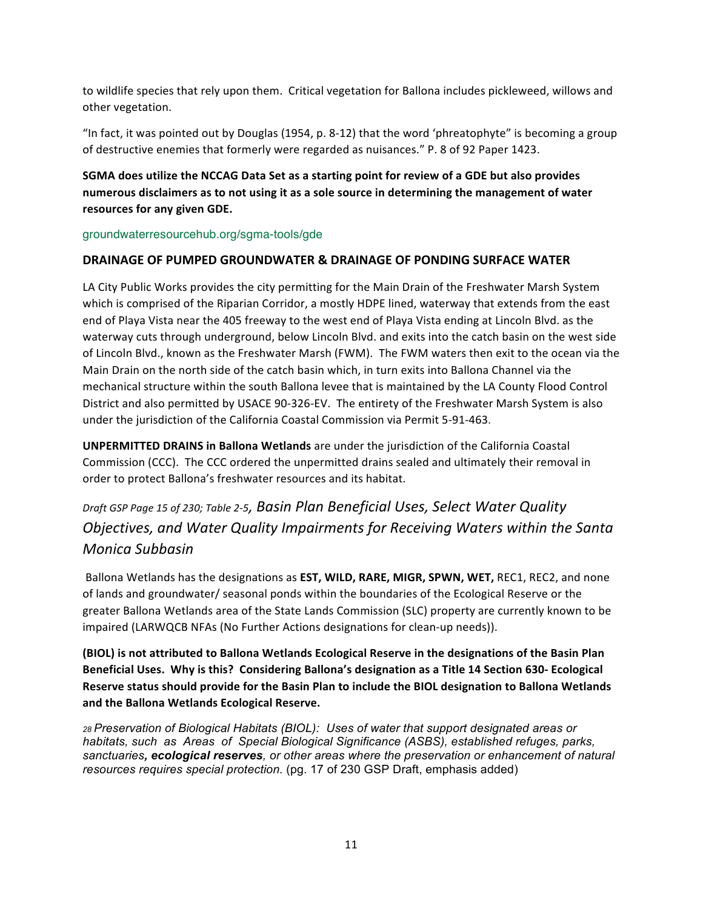to wildlife species that rely upon them. Critical vegetation for Ballona includes pickleweed, willows and other vegetation.

"In fact, it was pointed out by Douglas (1954, p. 8-12) that the word 'phreatophyte" is becoming a group of destructive enemies that formerly were regarded as nuisances." P. 8 of 92 Paper 1423.

**SGMA does utilize the NCCAG Data Set as a starting point for review of a GDE but also provides**  numerous disclaimers as to not using it as a sole source in determining the management of water resources for any given GDE.

groundwaterresourcehub.org/sgma-tools/gde

## **DRAINAGE OF PUMPED GROUNDWATER & DRAINAGE OF PONDING SURFACE WATER**

LA City Public Works provides the city permitting for the Main Drain of the Freshwater Marsh System which is comprised of the Riparian Corridor, a mostly HDPE lined, waterway that extends from the east end of Playa Vista near the 405 freeway to the west end of Playa Vista ending at Lincoln Blvd. as the waterway cuts through underground, below Lincoln Blvd. and exits into the catch basin on the west side of Lincoln Blvd., known as the Freshwater Marsh (FWM). The FWM waters then exit to the ocean via the Main Drain on the north side of the catch basin which, in turn exits into Ballona Channel via the mechanical structure within the south Ballona levee that is maintained by the LA County Flood Control District and also permitted by USACE 90-326-EV. The entirety of the Freshwater Marsh System is also under the jurisdiction of the California Coastal Commission via Permit 5-91-463.

**UNPERMITTED DRAINS in Ballona Wetlands** are under the jurisdiction of the California Coastal Commission (CCC). The CCC ordered the unpermitted drains sealed and ultimately their removal in order to protect Ballona's freshwater resources and its habitat.

# *Draft GSP Page 15 of 230; Table 2-5, Basin Plan Beneficial Uses, Select Water Quality Objectives, and Water Quality Impairments for Receiving Waters within the Santa Monica Subbasin*

Ballona Wetlands has the designations as **EST, WILD, RARE, MIGR, SPWN, WET,** REC1, REC2, and none of lands and groundwater/ seasonal ponds within the boundaries of the Ecological Reserve or the greater Ballona Wetlands area of the State Lands Commission (SLC) property are currently known to be impaired (LARWQCB NFAs (No Further Actions designations for clean-up needs)).

**(BIOL)** is not attributed to Ballona Wetlands Ecological Reserve in the designations of the Basin Plan Beneficial Uses. Why is this? Considering Ballona's designation as a Title 14 Section 630- Ecological Reserve status should provide for the Basin Plan to include the BIOL designation to Ballona Wetlands and the Ballona Wetlands Ecological Reserve.

*28 Preservation of Biological Habitats (BIOL): Uses of water that support designated areas or habitats, such as Areas of Special Biological Significance (ASBS), established refuges, parks, sanctuaries, ecological reserves, or other areas where the preservation or enhancement of natural resources requires special protection.* (pg. 17 of 230 GSP Draft, emphasis added)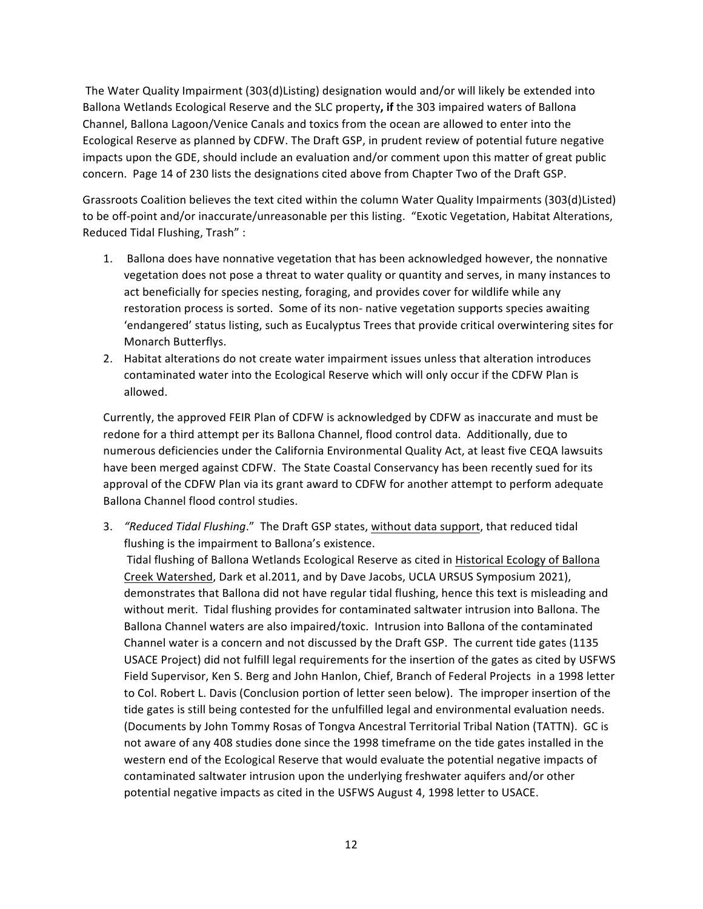The Water Quality Impairment (303(d)Listing) designation would and/or will likely be extended into Ballona Wetlands Ecological Reserve and the SLC property, if the 303 impaired waters of Ballona Channel, Ballona Lagoon/Venice Canals and toxics from the ocean are allowed to enter into the Ecological Reserve as planned by CDFW. The Draft GSP, in prudent review of potential future negative impacts upon the GDE, should include an evaluation and/or comment upon this matter of great public concern. Page 14 of 230 lists the designations cited above from Chapter Two of the Draft GSP.

Grassroots Coalition believes the text cited within the column Water Quality Impairments (303(d)Listed) to be off-point and/or inaccurate/unreasonable per this listing. "Exotic Vegetation, Habitat Alterations, Reduced Tidal Flushing, Trash":

- 1. Ballona does have nonnative vegetation that has been acknowledged however, the nonnative vegetation does not pose a threat to water quality or quantity and serves, in many instances to act beneficially for species nesting, foraging, and provides cover for wildlife while any restoration process is sorted. Some of its non- native vegetation supports species awaiting 'endangered' status listing, such as Eucalyptus Trees that provide critical overwintering sites for Monarch Butterflys.
- 2. Habitat alterations do not create water impairment issues unless that alteration introduces contaminated water into the Ecological Reserve which will only occur if the CDFW Plan is allowed.

Currently, the approved FEIR Plan of CDFW is acknowledged by CDFW as inaccurate and must be redone for a third attempt per its Ballona Channel, flood control data. Additionally, due to numerous deficiencies under the California Environmental Quality Act, at least five CEQA lawsuits have been merged against CDFW. The State Coastal Conservancy has been recently sued for its approval of the CDFW Plan via its grant award to CDFW for another attempt to perform adequate Ballona Channel flood control studies.

3. "Reduced Tidal Flushing." The Draft GSP states, without data support, that reduced tidal flushing is the impairment to Ballona's existence.

Tidal flushing of Ballona Wetlands Ecological Reserve as cited in Historical Ecology of Ballona Creek Watershed, Dark et al.2011, and by Dave Jacobs, UCLA URSUS Symposium 2021), demonstrates that Ballona did not have regular tidal flushing, hence this text is misleading and without merit. Tidal flushing provides for contaminated saltwater intrusion into Ballona. The Ballona Channel waters are also impaired/toxic. Intrusion into Ballona of the contaminated Channel water is a concern and not discussed by the Draft GSP. The current tide gates (1135 USACE Project) did not fulfill legal requirements for the insertion of the gates as cited by USFWS Field Supervisor, Ken S. Berg and John Hanlon, Chief, Branch of Federal Projects in a 1998 letter to Col. Robert L. Davis (Conclusion portion of letter seen below). The improper insertion of the tide gates is still being contested for the unfulfilled legal and environmental evaluation needs. (Documents by John Tommy Rosas of Tongva Ancestral Territorial Tribal Nation (TATTN). GC is not aware of any 408 studies done since the 1998 timeframe on the tide gates installed in the western end of the Ecological Reserve that would evaluate the potential negative impacts of contaminated saltwater intrusion upon the underlying freshwater aquifers and/or other potential negative impacts as cited in the USFWS August 4, 1998 letter to USACE.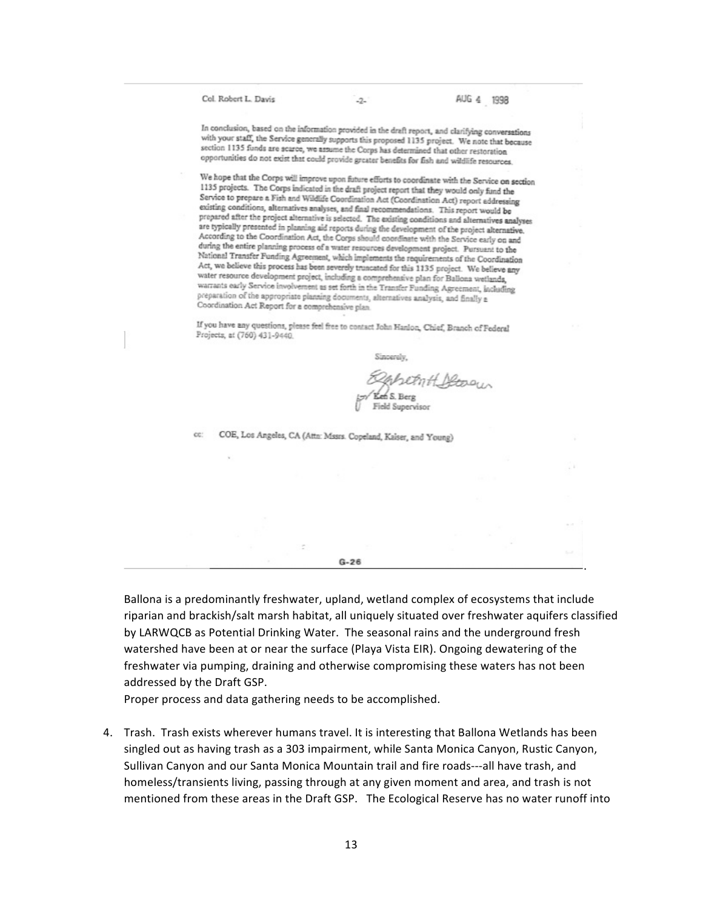Col. Robert L. Davis

 $-2-$ 

In conclusion, based on the information provided in the draft report, and clarifying conversations with your staff, the Service generally supports this proposed 1135 project. We note that because section 1135 funds are scarce, we assume the Corps has determined that other restoration opportunities do not exist that could provide greater benefits for fish and wildlife resources.

We hope that the Corps will improve upon future efforts to coordinate with the Service on section 1135 projects. The Corps indicated in the draft project report that they would only fund the Service to prepare a Fish and Wildlife Coordination Act (Coordination Act) report addressing existing conditions, alternatives analyses, and final recommendations. This report would be prepared after the project alternative is selected. The existing conditions and alternatives analyses are typically presented in planning aid reports during the development of the project alternative. According to the Coordination Act, the Corps should coordinate with the Service early on and during the entire planning process of a water resources development project. Pursuant to the National Transfer Funding Agreement, which implements the requirements of the Coordination Act, we believe this process has been severely truncated for this 1135 project. We believe any water resource development project, including a comprehensive plan for Ballona wetlands, warrants early Service involvement as set forth in the Transfer Funding Agreement, including preparation of the appropriate planning documents, alternatives analysis, and finally a Coordination Act Report for a comprehensive plan.

If you have any questions, please feel free to contact John Hanlon, Chief, Branch of Federal Projects, at (760) 431-9440.

Sincerely,

beent Decour Field Supervisor

.

COE, Los Angeles, CA (Attn: Mssrs. Copeland, Kaiser, and Young) cc:

 $G - 26$ 

Ballona is a predominantly freshwater, upland, wetland complex of ecosystems that include riparian and brackish/salt marsh habitat, all uniquely situated over freshwater aquifers classified by LARWQCB as Potential Drinking Water. The seasonal rains and the underground fresh watershed have been at or near the surface (Playa Vista EIR). Ongoing dewatering of the freshwater via pumping, draining and otherwise compromising these waters has not been addressed by the Draft GSP.

Proper process and data gathering needs to be accomplished.

4. Trash. Trash exists wherever humans travel. It is interesting that Ballona Wetlands has been singled out as having trash as a 303 impairment, while Santa Monica Canyon, Rustic Canyon, Sullivan Canyon and our Santa Monica Mountain trail and fire roads---all have trash, and homeless/transients living, passing through at any given moment and area, and trash is not mentioned from these areas in the Draft GSP. The Ecological Reserve has no water runoff into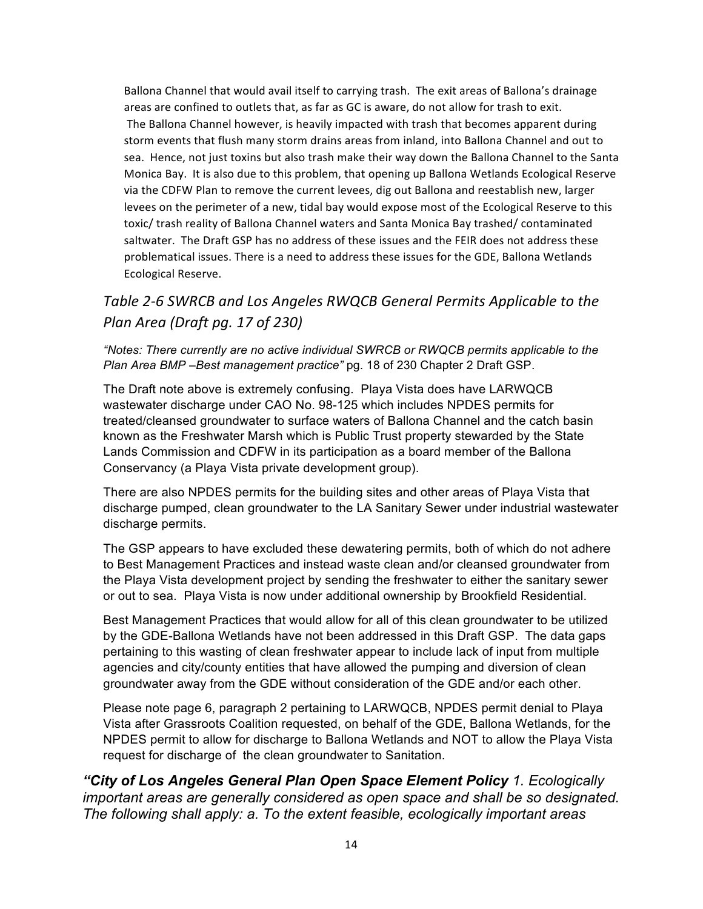Ballona Channel that would avail itself to carrying trash. The exit areas of Ballona's drainage areas are confined to outlets that, as far as GC is aware, do not allow for trash to exit. The Ballona Channel however, is heavily impacted with trash that becomes apparent during storm events that flush many storm drains areas from inland, into Ballona Channel and out to sea. Hence, not just toxins but also trash make their way down the Ballona Channel to the Santa Monica Bay. It is also due to this problem, that opening up Ballona Wetlands Ecological Reserve via the CDFW Plan to remove the current levees, dig out Ballona and reestablish new, larger levees on the perimeter of a new, tidal bay would expose most of the Ecological Reserve to this toxic/ trash reality of Ballona Channel waters and Santa Monica Bay trashed/ contaminated saltwater. The Draft GSP has no address of these issues and the FEIR does not address these problematical issues. There is a need to address these issues for the GDE, Ballona Wetlands Ecological Reserve.

# Table 2-6 SWRCB and Los Angeles RWQCB General Permits Applicable to the *Plan Area (Draft pg. 17 of 230)*

*"Notes: There currently are no active individual SWRCB or RWQCB permits applicable to the Plan Area BMP –Best management practice"* pg. 18 of 230 Chapter 2 Draft GSP.

The Draft note above is extremely confusing. Playa Vista does have LARWQCB wastewater discharge under CAO No. 98-125 which includes NPDES permits for treated/cleansed groundwater to surface waters of Ballona Channel and the catch basin known as the Freshwater Marsh which is Public Trust property stewarded by the State Lands Commission and CDFW in its participation as a board member of the Ballona Conservancy (a Playa Vista private development group).

There are also NPDES permits for the building sites and other areas of Playa Vista that discharge pumped, clean groundwater to the LA Sanitary Sewer under industrial wastewater discharge permits.

The GSP appears to have excluded these dewatering permits, both of which do not adhere to Best Management Practices and instead waste clean and/or cleansed groundwater from the Playa Vista development project by sending the freshwater to either the sanitary sewer or out to sea. Playa Vista is now under additional ownership by Brookfield Residential.

Best Management Practices that would allow for all of this clean groundwater to be utilized by the GDE-Ballona Wetlands have not been addressed in this Draft GSP. The data gaps pertaining to this wasting of clean freshwater appear to include lack of input from multiple agencies and city/county entities that have allowed the pumping and diversion of clean groundwater away from the GDE without consideration of the GDE and/or each other.

Please note page 6, paragraph 2 pertaining to LARWQCB, NPDES permit denial to Playa Vista after Grassroots Coalition requested, on behalf of the GDE, Ballona Wetlands, for the NPDES permit to allow for discharge to Ballona Wetlands and NOT to allow the Playa Vista request for discharge of the clean groundwater to Sanitation.

*"City of Los Angeles General Plan Open Space Element Policy 1. Ecologically important areas are generally considered as open space and shall be so designated. The following shall apply: a. To the extent feasible, ecologically important areas*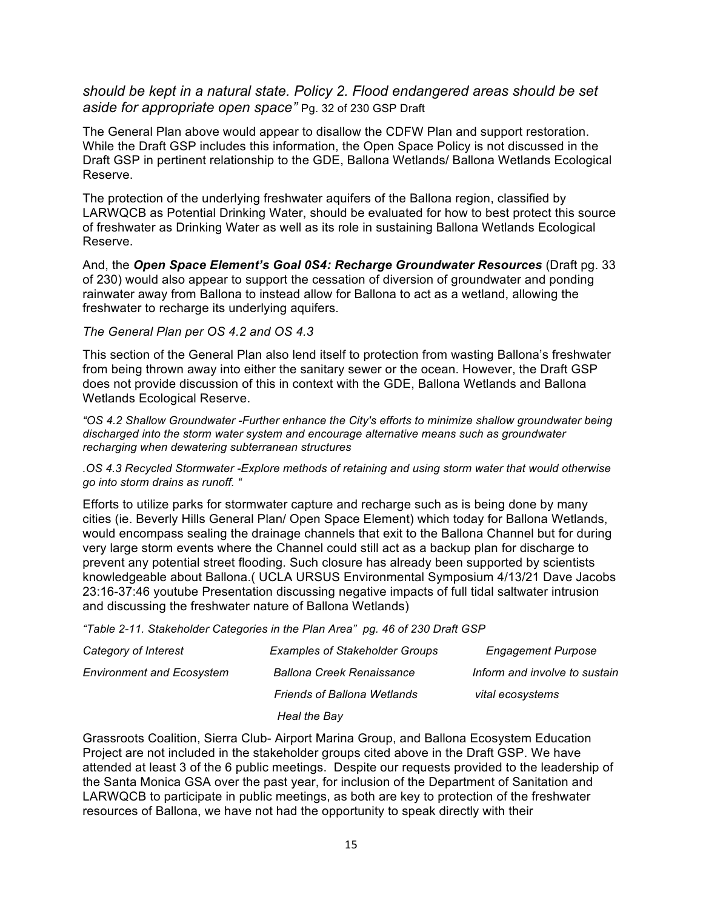## *should be kept in a natural state. Policy 2. Flood endangered areas should be set aside for appropriate open space"* Pg. 32 of 230 GSP Draft

The General Plan above would appear to disallow the CDFW Plan and support restoration. While the Draft GSP includes this information, the Open Space Policy is not discussed in the Draft GSP in pertinent relationship to the GDE, Ballona Wetlands/ Ballona Wetlands Ecological Reserve.

The protection of the underlying freshwater aquifers of the Ballona region, classified by LARWQCB as Potential Drinking Water, should be evaluated for how to best protect this source of freshwater as Drinking Water as well as its role in sustaining Ballona Wetlands Ecological Reserve.

And, the *Open Space Element's Goal 0S4: Recharge Groundwater Resources* (Draft pg. 33 of 230) would also appear to support the cessation of diversion of groundwater and ponding rainwater away from Ballona to instead allow for Ballona to act as a wetland, allowing the freshwater to recharge its underlying aquifers.

#### *The General Plan per OS 4.2 and OS 4.3*

This section of the General Plan also lend itself to protection from wasting Ballona's freshwater from being thrown away into either the sanitary sewer or the ocean. However, the Draft GSP does not provide discussion of this in context with the GDE, Ballona Wetlands and Ballona Wetlands Ecological Reserve.

*"OS 4.2 Shallow Groundwater -Further enhance the City's efforts to minimize shallow groundwater being discharged into the storm water system and encourage alternative means such as groundwater recharging when dewatering subterranean structures*

*.OS 4.3 Recycled Stormwater -Explore methods of retaining and using storm water that would otherwise go into storm drains as runoff. "*

Efforts to utilize parks for stormwater capture and recharge such as is being done by many cities (ie. Beverly Hills General Plan/ Open Space Element) which today for Ballona Wetlands, would encompass sealing the drainage channels that exit to the Ballona Channel but for during very large storm events where the Channel could still act as a backup plan for discharge to prevent any potential street flooding. Such closure has already been supported by scientists knowledgeable about Ballona.( UCLA URSUS Environmental Symposium 4/13/21 Dave Jacobs 23:16-37:46 youtube Presentation discussing negative impacts of full tidal saltwater intrusion and discussing the freshwater nature of Ballona Wetlands)

*"Table 2-11. Stakeholder Categories in the Plan Area" pg. 46 of 230 Draft GSP*

| Category of Interest             | <b>Examples of Stakeholder Groups</b> | <b>Engagement Purpose</b>     |
|----------------------------------|---------------------------------------|-------------------------------|
| <b>Environment and Ecosystem</b> | <b>Ballona Creek Renaissance</b>      | Inform and involve to sustain |
|                                  | <b>Friends of Ballona Wetlands</b>    | vital ecosystems              |
|                                  | <b>Heal the Bav</b>                   |                               |

Grassroots Coalition, Sierra Club- Airport Marina Group, and Ballona Ecosystem Education Project are not included in the stakeholder groups cited above in the Draft GSP. We have attended at least 3 of the 6 public meetings. Despite our requests provided to the leadership of the Santa Monica GSA over the past year, for inclusion of the Department of Sanitation and LARWQCB to participate in public meetings, as both are key to protection of the freshwater resources of Ballona, we have not had the opportunity to speak directly with their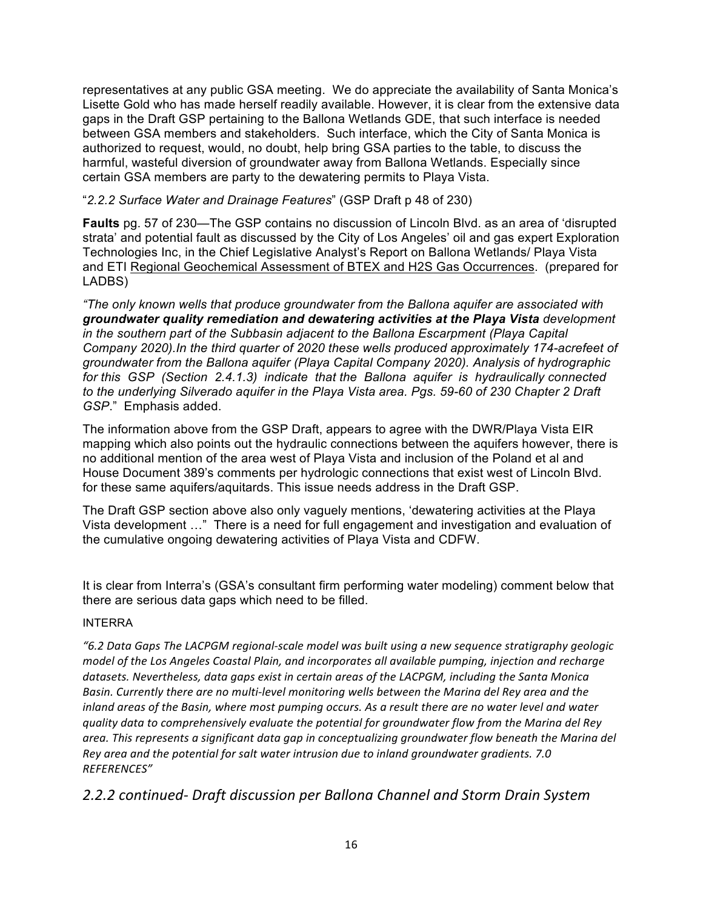representatives at any public GSA meeting. We do appreciate the availability of Santa Monica's Lisette Gold who has made herself readily available. However, it is clear from the extensive data gaps in the Draft GSP pertaining to the Ballona Wetlands GDE, that such interface is needed between GSA members and stakeholders. Such interface, which the City of Santa Monica is authorized to request, would, no doubt, help bring GSA parties to the table, to discuss the harmful, wasteful diversion of groundwater away from Ballona Wetlands. Especially since certain GSA members are party to the dewatering permits to Playa Vista.

"*2.2.2 Surface Water and Drainage Features*" (GSP Draft p 48 of 230)

**Faults** pg. 57 of 230—The GSP contains no discussion of Lincoln Blvd. as an area of 'disrupted strata' and potential fault as discussed by the City of Los Angeles' oil and gas expert Exploration Technologies Inc, in the Chief Legislative Analyst's Report on Ballona Wetlands/ Playa Vista and ETI Regional Geochemical Assessment of BTEX and H2S Gas Occurrences. (prepared for LADBS)

*"The only known wells that produce groundwater from the Ballona aquifer are associated with groundwater quality remediation and dewatering activities at the Playa Vista development in the southern part of the Subbasin adjacent to the Ballona Escarpment (Playa Capital Company 2020).In the third quarter of 2020 these wells produced approximately 174-acrefeet of groundwater from the Ballona aquifer (Playa Capital Company 2020). Analysis of hydrographic for this GSP (Section 2.4.1.3) indicate that the Ballona aquifer is hydraulically connected to the underlying Silverado aquifer in the Playa Vista area. Pgs. 59-60 of 230 Chapter 2 Draft GSP*." Emphasis added.

The information above from the GSP Draft, appears to agree with the DWR/Playa Vista EIR mapping which also points out the hydraulic connections between the aquifers however, there is no additional mention of the area west of Playa Vista and inclusion of the Poland et al and House Document 389's comments per hydrologic connections that exist west of Lincoln Blvd. for these same aquifers/aquitards. This issue needs address in the Draft GSP.

The Draft GSP section above also only vaguely mentions, 'dewatering activities at the Playa Vista development …" There is a need for full engagement and investigation and evaluation of the cumulative ongoing dewatering activities of Playa Vista and CDFW.

It is clear from Interra's (GSA's consultant firm performing water modeling) comment below that there are serious data gaps which need to be filled.

### INTERRA

*"6.2 Data Gaps The LACPGM regional-scale model was built using a new sequence stratigraphy geologic model of the Los Angeles Coastal Plain, and incorporates all available pumping, injection and recharge* datasets. Nevertheless, data gaps exist in certain areas of the LACPGM, including the Santa Monica Basin. Currently there are no multi-level monitoring wells between the Marina del Rey area and the *inland areas of the Basin, where most pumping occurs. As a result there are no water level and water quality* data to comprehensively evaluate the potential for groundwater flow from the Marina del Rey area. This represents a significant data gap in conceptualizing groundwater flow beneath the Marina del Rey area and the potential for salt water intrusion due to inland groundwater gradients. 7.0 *REFERENCES"*

*2.2.2 continued- Draft discussion per Ballona Channel and Storm Drain System*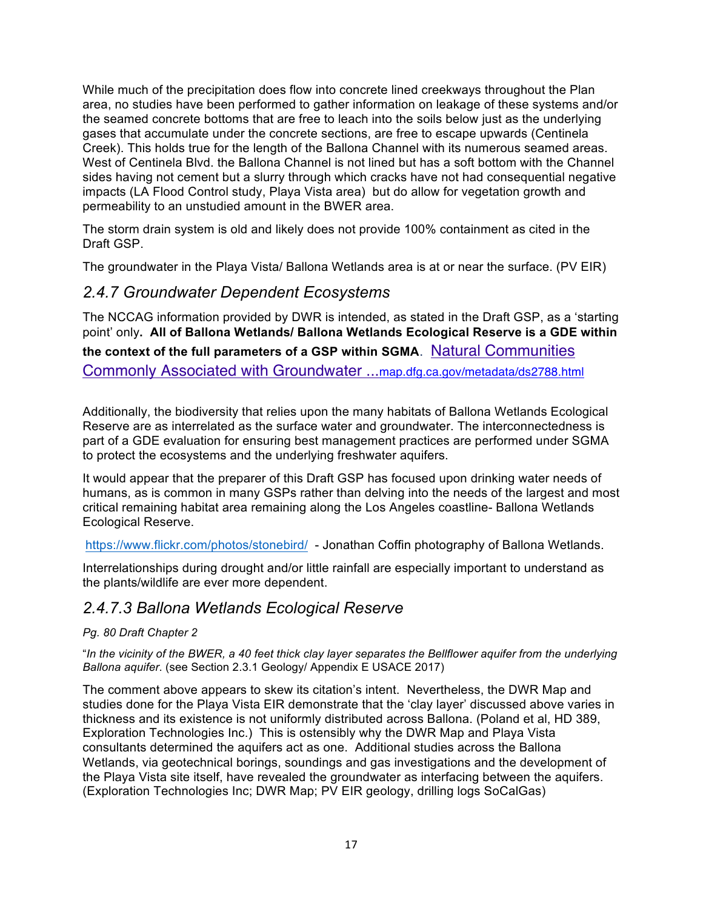While much of the precipitation does flow into concrete lined creekways throughout the Plan area, no studies have been performed to gather information on leakage of these systems and/or the seamed concrete bottoms that are free to leach into the soils below just as the underlying gases that accumulate under the concrete sections, are free to escape upwards (Centinela Creek). This holds true for the length of the Ballona Channel with its numerous seamed areas. West of Centinela Blvd. the Ballona Channel is not lined but has a soft bottom with the Channel sides having not cement but a slurry through which cracks have not had consequential negative impacts (LA Flood Control study, Playa Vista area) but do allow for vegetation growth and permeability to an unstudied amount in the BWER area.

The storm drain system is old and likely does not provide 100% containment as cited in the Draft GSP.

The groundwater in the Playa Vista/ Ballona Wetlands area is at or near the surface. (PV EIR)

## *2.4.7 Groundwater Dependent Ecosystems*

The NCCAG information provided by DWR is intended, as stated in the Draft GSP, as a 'starting point' only**. All of Ballona Wetlands/ Ballona Wetlands Ecological Reserve is a GDE within the context of the full parameters of a GSP within SGMA**. Natural Communities Commonly Associated with Groundwater ...map.dfg.ca.gov/metadata/ds2788.html

Additionally, the biodiversity that relies upon the many habitats of Ballona Wetlands Ecological Reserve are as interrelated as the surface water and groundwater. The interconnectedness is part of a GDE evaluation for ensuring best management practices are performed under SGMA to protect the ecosystems and the underlying freshwater aquifers.

It would appear that the preparer of this Draft GSP has focused upon drinking water needs of humans, as is common in many GSPs rather than delving into the needs of the largest and most critical remaining habitat area remaining along the Los Angeles coastline- Ballona Wetlands Ecological Reserve.

https://www.flickr.com/photos/stonebird/ - Jonathan Coffin photography of Ballona Wetlands.

Interrelationships during drought and/or little rainfall are especially important to understand as the plants/wildlife are ever more dependent.

## *2.4.7.3 Ballona Wetlands Ecological Reserve*

#### *Pg. 80 Draft Chapter 2*

"*In the vicinity of the BWER, a 40 feet thick clay layer separates the Bellflower aquifer from the underlying Ballona aquifer*. (see Section 2.3.1 Geology/ Appendix E USACE 2017)

The comment above appears to skew its citation's intent. Nevertheless, the DWR Map and studies done for the Playa Vista EIR demonstrate that the 'clay layer' discussed above varies in thickness and its existence is not uniformly distributed across Ballona. (Poland et al, HD 389, Exploration Technologies Inc.) This is ostensibly why the DWR Map and Playa Vista consultants determined the aquifers act as one. Additional studies across the Ballona Wetlands, via geotechnical borings, soundings and gas investigations and the development of the Playa Vista site itself, have revealed the groundwater as interfacing between the aquifers. (Exploration Technologies Inc; DWR Map; PV EIR geology, drilling logs SoCalGas)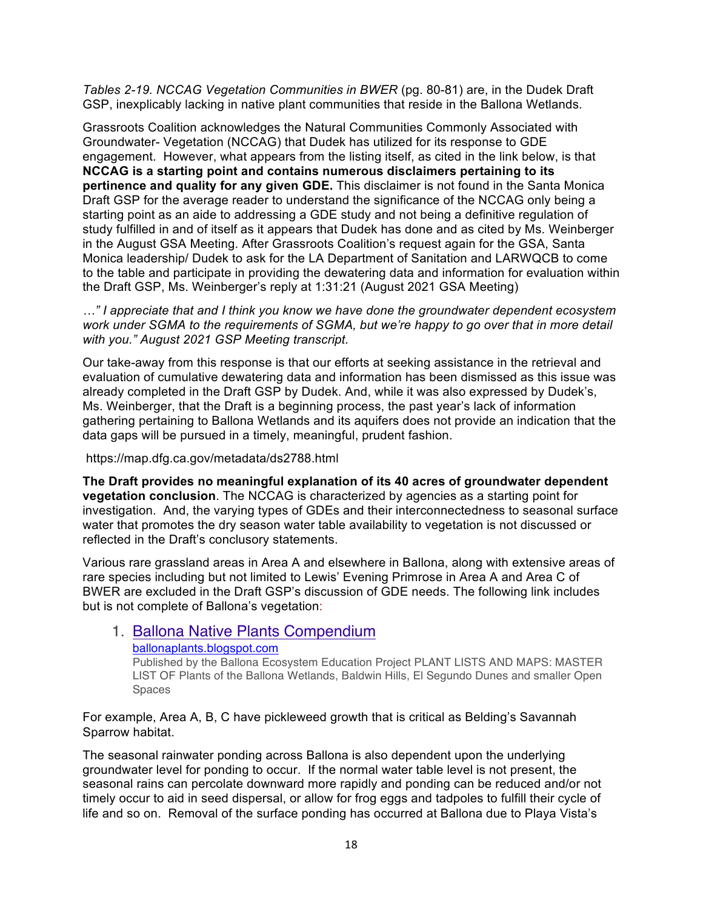*Tables 2-19. NCCAG Vegetation Communities in BWER* (pg. 80-81) are, in the Dudek Draft GSP, inexplicably lacking in native plant communities that reside in the Ballona Wetlands.

Grassroots Coalition acknowledges the Natural Communities Commonly Associated with Groundwater- Vegetation (NCCAG) that Dudek has utilized for its response to GDE engagement. However, what appears from the listing itself, as cited in the link below, is that **NCCAG is a starting point and contains numerous disclaimers pertaining to its pertinence and quality for any given GDE.** This disclaimer is not found in the Santa Monica Draft GSP for the average reader to understand the significance of the NCCAG only being a starting point as an aide to addressing a GDE study and not being a definitive regulation of study fulfilled in and of itself as it appears that Dudek has done and as cited by Ms. Weinberger in the August GSA Meeting. After Grassroots Coalition's request again for the GSA, Santa Monica leadership/ Dudek to ask for the LA Department of Sanitation and LARWQCB to come to the table and participate in providing the dewatering data and information for evaluation within the Draft GSP, Ms. Weinberger's reply at 1:31:21 (August 2021 GSA Meeting)

*…" I appreciate that and I think you know we have done the groundwater dependent ecosystem work under SGMA to the requirements of SGMA, but we're happy to go over that in more detail with you." August 2021 GSP Meeting transcript.*

Our take-away from this response is that our efforts at seeking assistance in the retrieval and evaluation of cumulative dewatering data and information has been dismissed as this issue was already completed in the Draft GSP by Dudek. And, while it was also expressed by Dudek's, Ms. Weinberger, that the Draft is a beginning process, the past year's lack of information gathering pertaining to Ballona Wetlands and its aquifers does not provide an indication that the data gaps will be pursued in a timely, meaningful, prudent fashion.

https://map.dfg.ca.gov/metadata/ds2788.html

**The Draft provides no meaningful explanation of its 40 acres of groundwater dependent vegetation conclusion**. The NCCAG is characterized by agencies as a starting point for investigation. And, the varying types of GDEs and their interconnectedness to seasonal surface water that promotes the dry season water table availability to vegetation is not discussed or reflected in the Draft's conclusory statements.

Various rare grassland areas in Area A and elsewhere in Ballona, along with extensive areas of rare species including but not limited to Lewis' Evening Primrose in Area A and Area C of BWER are excluded in the Draft GSP's discussion of GDE needs. The following link includes but is not complete of Ballona's vegetation:

#### 1. Ballona Native Plants Compendium ballonaplants.blogspot.com

Published by the Ballona Ecosystem Education Project PLANT LISTS AND MAPS: MASTER LIST OF Plants of the Ballona Wetlands, Baldwin Hills, El Segundo Dunes and smaller Open Spaces

For example, Area A, B, C have pickleweed growth that is critical as Belding's Savannah Sparrow habitat.

The seasonal rainwater ponding across Ballona is also dependent upon the underlying groundwater level for ponding to occur. If the normal water table level is not present, the seasonal rains can percolate downward more rapidly and ponding can be reduced and/or not timely occur to aid in seed dispersal, or allow for frog eggs and tadpoles to fulfill their cycle of life and so on. Removal of the surface ponding has occurred at Ballona due to Playa Vista's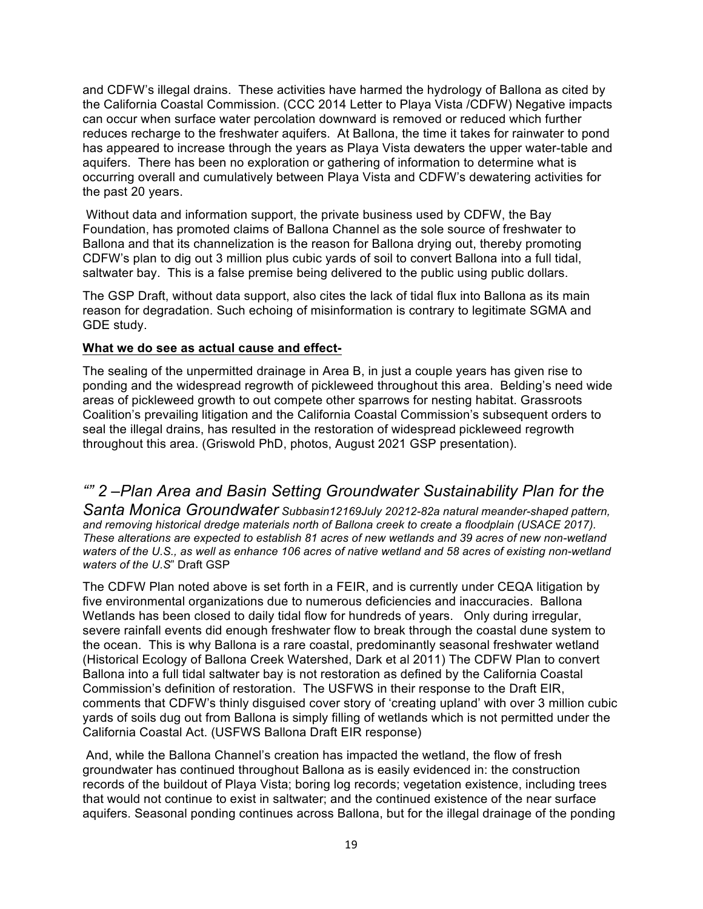and CDFW's illegal drains. These activities have harmed the hydrology of Ballona as cited by the California Coastal Commission. (CCC 2014 Letter to Playa Vista /CDFW) Negative impacts can occur when surface water percolation downward is removed or reduced which further reduces recharge to the freshwater aquifers. At Ballona, the time it takes for rainwater to pond has appeared to increase through the years as Playa Vista dewaters the upper water-table and aquifers. There has been no exploration or gathering of information to determine what is occurring overall and cumulatively between Playa Vista and CDFW's dewatering activities for the past 20 years.

Without data and information support, the private business used by CDFW, the Bay Foundation, has promoted claims of Ballona Channel as the sole source of freshwater to Ballona and that its channelization is the reason for Ballona drying out, thereby promoting CDFW's plan to dig out 3 million plus cubic yards of soil to convert Ballona into a full tidal, saltwater bay. This is a false premise being delivered to the public using public dollars.

The GSP Draft, without data support, also cites the lack of tidal flux into Ballona as its main reason for degradation. Such echoing of misinformation is contrary to legitimate SGMA and GDE study.

#### **What we do see as actual cause and effect-**

The sealing of the unpermitted drainage in Area B, in just a couple years has given rise to ponding and the widespread regrowth of pickleweed throughout this area. Belding's need wide areas of pickleweed growth to out compete other sparrows for nesting habitat. Grassroots Coalition's prevailing litigation and the California Coastal Commission's subsequent orders to seal the illegal drains, has resulted in the restoration of widespread pickleweed regrowth throughout this area. (Griswold PhD, photos, August 2021 GSP presentation).

# *"" 2 –Plan Area and Basin Setting Groundwater Sustainability Plan for the*

*Santa Monica Groundwater Subbasin12169July 20212-82a natural meander-shaped pattern, and removing historical dredge materials north of Ballona creek to create a floodplain (USACE 2017). These alterations are expected to establish 81 acres of new wetlands and 39 acres of new non-wetland waters of the U.S., as well as enhance 106 acres of native wetland and 58 acres of existing non-wetland waters of the U.S*" Draft GSP

The CDFW Plan noted above is set forth in a FEIR, and is currently under CEQA litigation by five environmental organizations due to numerous deficiencies and inaccuracies. Ballona Wetlands has been closed to daily tidal flow for hundreds of years. Only during irregular, severe rainfall events did enough freshwater flow to break through the coastal dune system to the ocean. This is why Ballona is a rare coastal, predominantly seasonal freshwater wetland (Historical Ecology of Ballona Creek Watershed, Dark et al 2011) The CDFW Plan to convert Ballona into a full tidal saltwater bay is not restoration as defined by the California Coastal Commission's definition of restoration. The USFWS in their response to the Draft EIR, comments that CDFW's thinly disguised cover story of 'creating upland' with over 3 million cubic yards of soils dug out from Ballona is simply filling of wetlands which is not permitted under the California Coastal Act. (USFWS Ballona Draft EIR response)

And, while the Ballona Channel's creation has impacted the wetland, the flow of fresh groundwater has continued throughout Ballona as is easily evidenced in: the construction records of the buildout of Playa Vista; boring log records; vegetation existence, including trees that would not continue to exist in saltwater; and the continued existence of the near surface aquifers. Seasonal ponding continues across Ballona, but for the illegal drainage of the ponding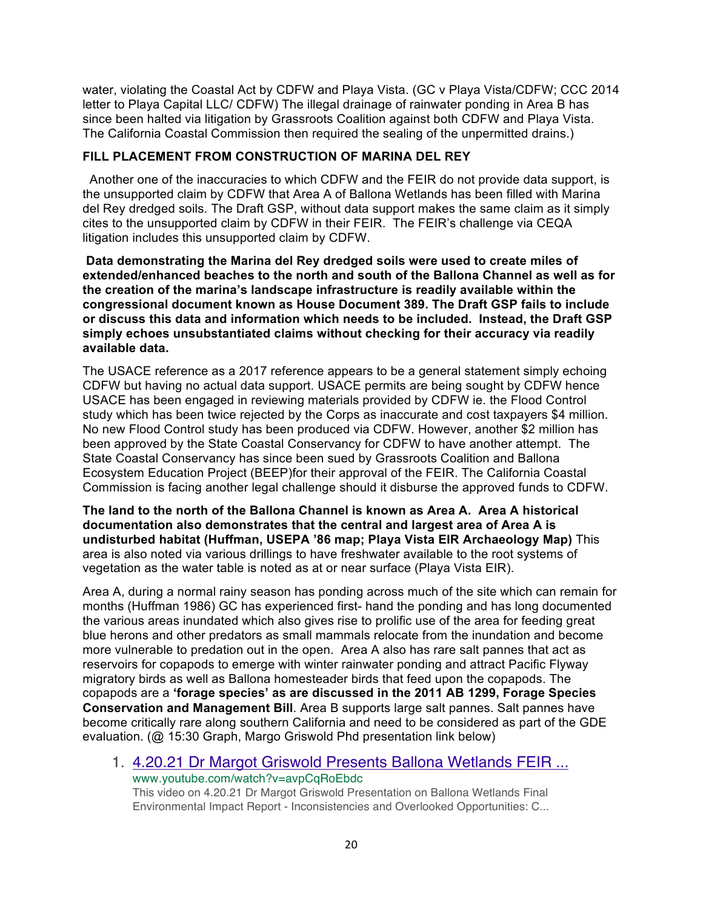water, violating the Coastal Act by CDFW and Playa Vista. (GC v Playa Vista/CDFW; CCC 2014 letter to Playa Capital LLC/ CDFW) The illegal drainage of rainwater ponding in Area B has since been halted via litigation by Grassroots Coalition against both CDFW and Playa Vista. The California Coastal Commission then required the sealing of the unpermitted drains.)

### **FILL PLACEMENT FROM CONSTRUCTION OF MARINA DEL REY**

 Another one of the inaccuracies to which CDFW and the FEIR do not provide data support, is the unsupported claim by CDFW that Area A of Ballona Wetlands has been filled with Marina del Rey dredged soils. The Draft GSP, without data support makes the same claim as it simply cites to the unsupported claim by CDFW in their FEIR. The FEIR's challenge via CEQA litigation includes this unsupported claim by CDFW.

**Data demonstrating the Marina del Rey dredged soils were used to create miles of extended/enhanced beaches to the north and south of the Ballona Channel as well as for the creation of the marina's landscape infrastructure is readily available within the congressional document known as House Document 389. The Draft GSP fails to include or discuss this data and information which needs to be included. Instead, the Draft GSP simply echoes unsubstantiated claims without checking for their accuracy via readily available data.**

The USACE reference as a 2017 reference appears to be a general statement simply echoing CDFW but having no actual data support. USACE permits are being sought by CDFW hence USACE has been engaged in reviewing materials provided by CDFW ie. the Flood Control study which has been twice rejected by the Corps as inaccurate and cost taxpayers \$4 million. No new Flood Control study has been produced via CDFW. However, another \$2 million has been approved by the State Coastal Conservancy for CDFW to have another attempt. The State Coastal Conservancy has since been sued by Grassroots Coalition and Ballona Ecosystem Education Project (BEEP)for their approval of the FEIR. The California Coastal Commission is facing another legal challenge should it disburse the approved funds to CDFW.

**The land to the north of the Ballona Channel is known as Area A. Area A historical documentation also demonstrates that the central and largest area of Area A is undisturbed habitat (Huffman, USEPA '86 map; Playa Vista EIR Archaeology Map)** This area is also noted via various drillings to have freshwater available to the root systems of vegetation as the water table is noted as at or near surface (Playa Vista EIR).

Area A, during a normal rainy season has ponding across much of the site which can remain for months (Huffman 1986) GC has experienced first- hand the ponding and has long documented the various areas inundated which also gives rise to prolific use of the area for feeding great blue herons and other predators as small mammals relocate from the inundation and become more vulnerable to predation out in the open. Area A also has rare salt pannes that act as reservoirs for copapods to emerge with winter rainwater ponding and attract Pacific Flyway migratory birds as well as Ballona homesteader birds that feed upon the copapods. The copapods are a **'forage species' as are discussed in the 2011 AB 1299, Forage Species Conservation and Management Bill**. Area B supports large salt pannes. Salt pannes have become critically rare along southern California and need to be considered as part of the GDE evaluation. (@ 15:30 Graph, Margo Griswold Phd presentation link below)

1. 4.20.21 Dr Margot Griswold Presents Ballona Wetlands FEIR ... www.youtube.com/watch?v=avpCqRoEbdc

This video on 4.20.21 Dr Margot Griswold Presentation on Ballona Wetlands Final Environmental Impact Report - Inconsistencies and Overlooked Opportunities: C...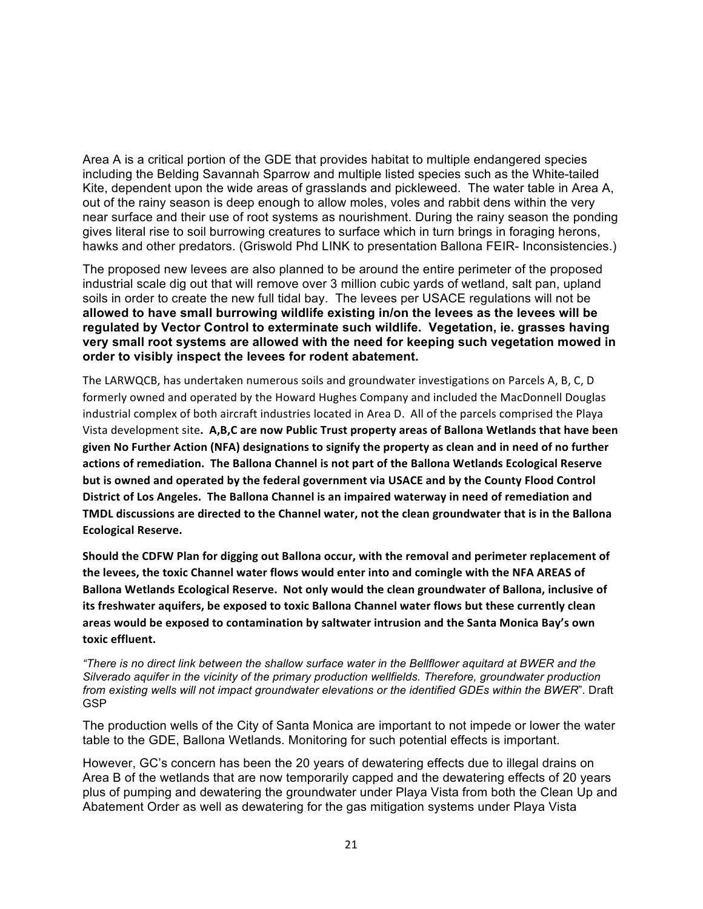Area A is a critical portion of the GDE that provides habitat to multiple endangered species including the Belding Savannah Sparrow and multiple listed species such as the White-tailed Kite, dependent upon the wide areas of grasslands and pickleweed. The water table in Area A, out of the rainy season is deep enough to allow moles, voles and rabbit dens within the very near surface and their use of root systems as nourishment. During the rainy season the ponding gives literal rise to soil burrowing creatures to surface which in turn brings in foraging herons, hawks and other predators. (Griswold Phd LINK to presentation Ballona FEIR- Inconsistencies.)

The proposed new levees are also planned to be around the entire perimeter of the proposed industrial scale dig out that will remove over 3 million cubic yards of wetland, salt pan, upland soils in order to create the new full tidal bay. The levees per USACE regulations will not be **allowed to have small burrowing wildlife existing in/on the levees as the levees will be regulated by Vector Control to exterminate such wildlife. Vegetation, ie. grasses having very small root systems are allowed with the need for keeping such vegetation mowed in order to visibly inspect the levees for rodent abatement.**

The LARWQCB, has undertaken numerous soils and groundwater investigations on Parcels A, B, C, D formerly owned and operated by the Howard Hughes Company and included the MacDonnell Douglas industrial complex of both aircraft industries located in Area D. All of the parcels comprised the Playa Vista development site. A,B,C are now Public Trust property areas of Ballona Wetlands that have been given No Further Action (NFA) designations to signify the property as clean and in need of no further actions of remediation. The Ballona Channel is not part of the Ballona Wetlands Ecological Reserve but is owned and operated by the federal government via USACE and by the County Flood Control District of Los Angeles. The Ballona Channel is an impaired waterway in need of remediation and **TMDL discussions are directed to the Channel water, not the clean groundwater that is in the Ballona Ecological Reserve.**

Should the CDFW Plan for digging out Ballona occur, with the removal and perimeter replacement of the levees, the toxic Channel water flows would enter into and comingle with the NFA AREAS of Ballona Wetlands Ecological Reserve. Not only would the clean groundwater of Ballona, inclusive of its freshwater aquifers, be exposed to toxic Ballona Channel water flows but these currently clean areas would be exposed to contamination by saltwater intrusion and the Santa Monica Bay's own **toxic effluent.** 

*"There is no direct link between the shallow surface water in the Bellflower aquitard at BWER and the Silverado aquifer in the vicinity of the primary production wellfields. Therefore, groundwater production from existing wells will not impact groundwater elevations or the identified GDEs within the BWER*". Draft GSP

The production wells of the City of Santa Monica are important to not impede or lower the water table to the GDE, Ballona Wetlands. Monitoring for such potential effects is important.

However, GC's concern has been the 20 years of dewatering effects due to illegal drains on Area B of the wetlands that are now temporarily capped and the dewatering effects of 20 years plus of pumping and dewatering the groundwater under Playa Vista from both the Clean Up and Abatement Order as well as dewatering for the gas mitigation systems under Playa Vista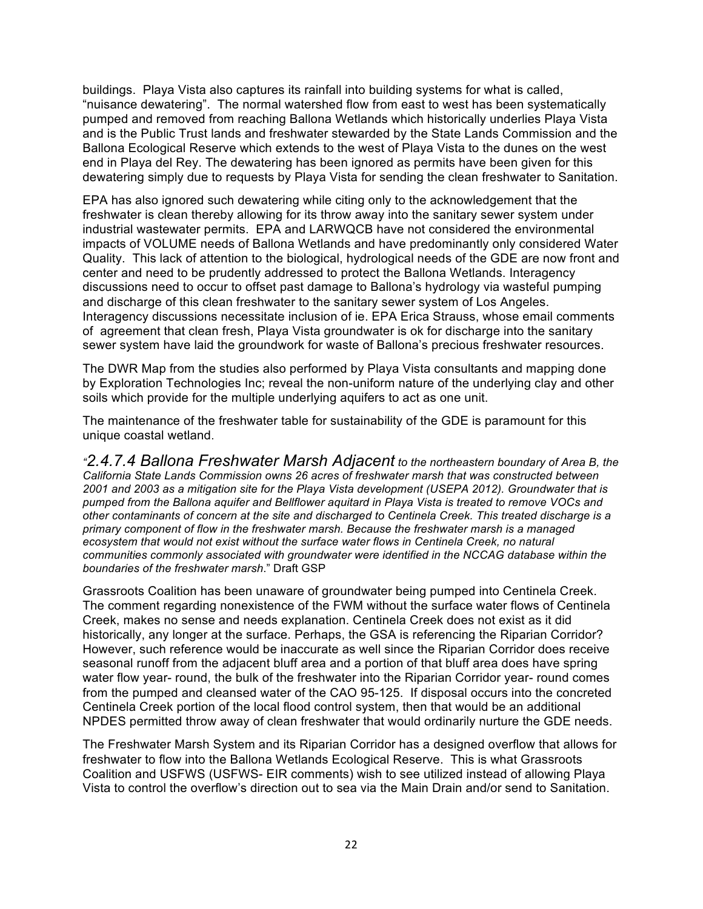buildings. Playa Vista also captures its rainfall into building systems for what is called, "nuisance dewatering". The normal watershed flow from east to west has been systematically pumped and removed from reaching Ballona Wetlands which historically underlies Playa Vista and is the Public Trust lands and freshwater stewarded by the State Lands Commission and the Ballona Ecological Reserve which extends to the west of Playa Vista to the dunes on the west end in Playa del Rey. The dewatering has been ignored as permits have been given for this dewatering simply due to requests by Playa Vista for sending the clean freshwater to Sanitation.

EPA has also ignored such dewatering while citing only to the acknowledgement that the freshwater is clean thereby allowing for its throw away into the sanitary sewer system under industrial wastewater permits. EPA and LARWQCB have not considered the environmental impacts of VOLUME needs of Ballona Wetlands and have predominantly only considered Water Quality. This lack of attention to the biological, hydrological needs of the GDE are now front and center and need to be prudently addressed to protect the Ballona Wetlands. Interagency discussions need to occur to offset past damage to Ballona's hydrology via wasteful pumping and discharge of this clean freshwater to the sanitary sewer system of Los Angeles. Interagency discussions necessitate inclusion of ie. EPA Erica Strauss, whose email comments of agreement that clean fresh, Playa Vista groundwater is ok for discharge into the sanitary sewer system have laid the groundwork for waste of Ballona's precious freshwater resources.

The DWR Map from the studies also performed by Playa Vista consultants and mapping done by Exploration Technologies Inc; reveal the non-uniform nature of the underlying clay and other soils which provide for the multiple underlying aquifers to act as one unit.

The maintenance of the freshwater table for sustainability of the GDE is paramount for this unique coastal wetland.

*"2.4.7.4 Ballona Freshwater Marsh Adjacent to the northeastern boundary of Area B, the California State Lands Commission owns 26 acres of freshwater marsh that was constructed between 2001 and 2003 as a mitigation site for the Playa Vista development (USEPA 2012). Groundwater that is pumped from the Ballona aquifer and Bellflower aquitard in Playa Vista is treated to remove VOCs and other contaminants of concern at the site and discharged to Centinela Creek. This treated discharge is a primary component of flow in the freshwater marsh. Because the freshwater marsh is a managed ecosystem that would not exist without the surface water flows in Centinela Creek, no natural communities commonly associated with groundwater were identified in the NCCAG database within the boundaries of the freshwater marsh*." Draft GSP

Grassroots Coalition has been unaware of groundwater being pumped into Centinela Creek. The comment regarding nonexistence of the FWM without the surface water flows of Centinela Creek, makes no sense and needs explanation. Centinela Creek does not exist as it did historically, any longer at the surface. Perhaps, the GSA is referencing the Riparian Corridor? However, such reference would be inaccurate as well since the Riparian Corridor does receive seasonal runoff from the adjacent bluff area and a portion of that bluff area does have spring water flow year- round, the bulk of the freshwater into the Riparian Corridor year- round comes from the pumped and cleansed water of the CAO 95-125. If disposal occurs into the concreted Centinela Creek portion of the local flood control system, then that would be an additional NPDES permitted throw away of clean freshwater that would ordinarily nurture the GDE needs.

The Freshwater Marsh System and its Riparian Corridor has a designed overflow that allows for freshwater to flow into the Ballona Wetlands Ecological Reserve. This is what Grassroots Coalition and USFWS (USFWS- EIR comments) wish to see utilized instead of allowing Playa Vista to control the overflow's direction out to sea via the Main Drain and/or send to Sanitation.